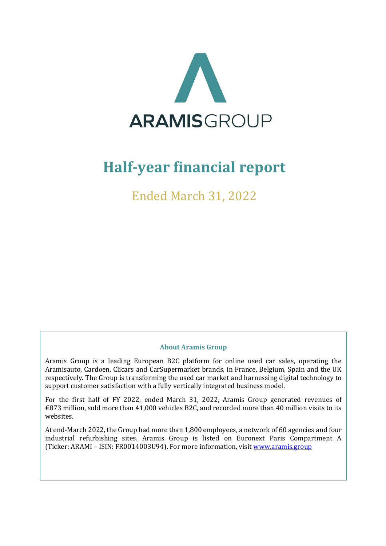

# **Half-year financial report**

Ended March 31, 2022

#### **About Aramis Group**

Aramis Group is a leading European B2C platform for online used car sales, operating the Aramisauto, Cardoen, Clicars and CarSupermarket brands, in France, Belgium, Spain and the UK respectively. The Group is transforming the used car market and harnessing digital technology to support customer satisfaction with a fully vertically integrated business model.

For the first half of FY 2022, ended March 31, 2022, Aramis Group generated revenues of €873 million, sold more than 41,000 vehicles B2C, and recorded more than 40 million visits to its websites.

At end-March 2022, the Group had more than 1,800 employees, a network of 60 agencies and four industrial refurbishing sites. Aramis Group is listed on Euronext Paris Compartment A (Ticker: ARAMI – ISIN: FR0014003U94). For more information, visit [www.aramis.group](http://www.aramis.group/)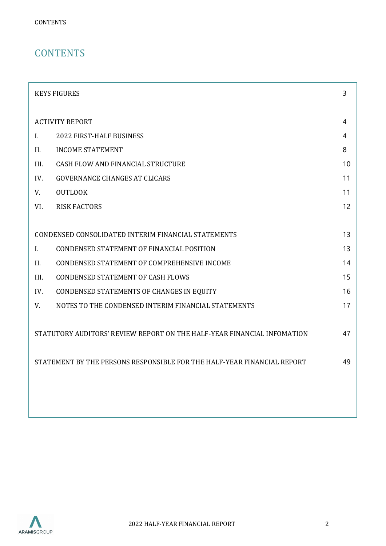# **CONTENTS**

|                | <b>KEYS FIGURES</b>                                                     | 3  |
|----------------|-------------------------------------------------------------------------|----|
|                | <b>ACTIVITY REPORT</b>                                                  | 4  |
| $\mathbf{I}$ . | 2022 FIRST-HALF BUSINESS                                                | 4  |
| II.            | <b>INCOME STATEMENT</b>                                                 | 8  |
| III.           | CASH FLOW AND FINANCIAL STRUCTURE                                       | 10 |
| IV.            | <b>GOVERNANCE CHANGES AT CLICARS</b>                                    | 11 |
| V.             | <b>OUTLOOK</b>                                                          | 11 |
| VI.            | <b>RISK FACTORS</b>                                                     | 12 |
|                |                                                                         |    |
|                | CONDENSED CONSOLIDATED INTERIM FINANCIAL STATEMENTS                     | 13 |
| L.             | CONDENSED STATEMENT OF FINANCIAL POSITION                               | 13 |
| II.            | CONDENSED STATEMENT OF COMPREHENSIVE INCOME                             | 14 |
| III.           | <b>CONDENSED STATEMENT OF CASH FLOWS</b>                                | 15 |
| IV.            | CONDENSED STATEMENTS OF CHANGES IN EQUITY                               | 16 |
| V.             | NOTES TO THE CONDENSED INTERIM FINANCIAL STATEMENTS                     | 17 |
|                | STATUTORY AUDITORS' REVIEW REPORT ON THE HALF-YEAR FINANCIAL INFOMATION | 47 |
|                | STATEMENT BY THE PERSONS RESPONSIBLE FOR THE HALF-YEAR FINANCIAL REPORT | 49 |
|                |                                                                         |    |
|                |                                                                         |    |
|                |                                                                         |    |

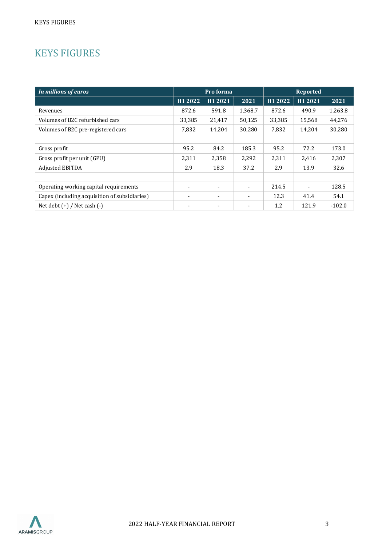# <span id="page-2-0"></span>KEYS FIGURES

| In millions of euros                          |         | Pro forma      |                          |         | <b>Reported</b>          |          |  |
|-----------------------------------------------|---------|----------------|--------------------------|---------|--------------------------|----------|--|
|                                               | H1 2022 | H1 2021        | 2021                     | H1 2022 | H1 2021                  | 2021     |  |
| Revenues                                      | 872.6   | 591.8          | 1,368.7                  | 872.6   | 490.9                    | 1,263.8  |  |
| Volumes of B2C refurbished cars               | 33,385  | 21,417         | 50,125                   | 33,385  | 15,568                   | 44,276   |  |
| Volumes of B2C pre-registered cars            | 7,832   | 14,204         | 30,280                   | 7,832   | 14,204                   | 30,280   |  |
|                                               |         |                |                          |         |                          |          |  |
| Gross profit                                  | 95.2    | 84.2           | 185.3                    | 95.2    | 72.2                     | 173.0    |  |
| Gross profit per unit (GPU)                   | 2,311   | 2,358          | 2,292                    | 2,311   | 2,416                    | 2,307    |  |
| Adjusted EBITDA                               | 2.9     | 18.3           | 37.2                     | 2.9     | 13.9                     | 32.6     |  |
|                                               |         |                |                          |         |                          |          |  |
| Operating working capital requirements        |         | $\blacksquare$ | $\blacksquare$           | 214.5   | $\overline{\phantom{a}}$ | 128.5    |  |
| Capex (including acquisition of subsidiaries) |         | ٠              | $\overline{\phantom{0}}$ | 12.3    | 41.4                     | 54.1     |  |
| Net debt $(+)$ / Net cash $(-)$               |         |                |                          | 1.2     | 121.9                    | $-102.0$ |  |

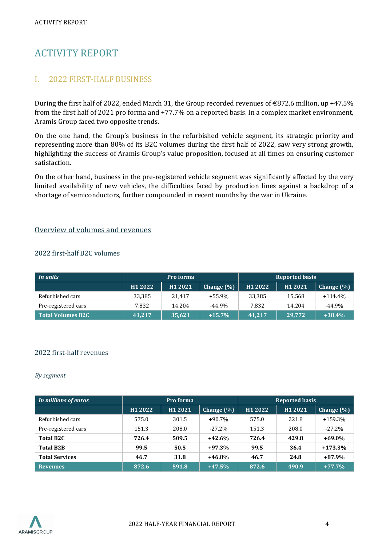# <span id="page-3-0"></span>ACTIVITY REPORT

# <span id="page-3-1"></span>I. 2022 FIRST-HALF BUSINESS

During the first half of 2022, ended March 31, the Group recorded revenues of €872.6 million, up +47.5% from the first half of 2021 pro forma and +77.7% on a reported basis. In a complex market environment, Aramis Group faced two opposite trends.

On the one hand, the Group's business in the refurbished vehicle segment, its strategic priority and representing more than 80% of its B2C volumes during the first half of 2022, saw very strong growth, highlighting the success of Aramis Group's value proposition, focused at all times on ensuring customer satisfaction.

On the other hand, business in the pre-registered vehicle segment was significantly affected by the very limited availability of new vehicles, the difficulties faced by production lines against a backdrop of a shortage of semiconductors, further compounded in recent months by the war in Ukraine.

#### Overview of volumes and revenues

#### 2022 first-half B2C volumes

| In units            | Pro forma |         |               | <b>Reported basis</b> |         |               |
|---------------------|-----------|---------|---------------|-----------------------|---------|---------------|
|                     | H1 2022   | H1 2021 | Change $(\%)$ | H1 2022               | H1 2021 | Change $(\%)$ |
| Refurbished cars    | 33.385    | 21.417  | +55.9%        | 33,385                | 15.568  | $+114.4\%$    |
| Pre-registered cars | 7.832     | 14.204  | $-44.9\%$     | 7.832                 | 14.204  | $-44.9%$      |
| Total Volumes B2C   | 41.217    | 35,621  | $+15.7%$      | 41.217                | 29.772  | $+38.4%$      |

#### 2022 first-half revenues

#### *By segment*

| In millions of euros  | Pro forma |         |                | <b>Reported basis</b> |         |               |
|-----------------------|-----------|---------|----------------|-----------------------|---------|---------------|
|                       | H1 2022   | H1 2021 | Change $(\% )$ | H1 2022               | H1 2021 | Change $(\%)$ |
| Refurbished cars      | 575.0     | 301.5   | $+90.7%$       | 575.0                 | 221.8   | $+159.3%$     |
| Pre-registered cars   | 151.3     | 208.0   | $-27.2\%$      | 151.3                 | 208.0   | $-27.2%$      |
| Total B <sub>2C</sub> | 726.4     | 509.5   | $+42.6%$       | 726.4                 | 429.8   | $+69.0%$      |
| <b>Total B2B</b>      | 99.5      | 50.5    | $+97.3%$       | 99.5                  | 36.4    | $+173.3%$     |
| <b>Total Services</b> | 46.7      | 31.8    | $+46.8%$       | 46.7                  | 24.8    | $+87.9%$      |
| <b>Revenues</b>       | 872.6     | 591.8   | $+47.5%$       | 872.6                 | 490.9   | $+77.7%$      |

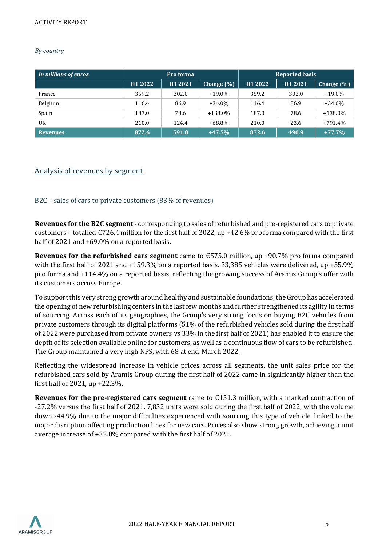#### *By country*

| In millions of euros | Pro forma |         |               |                     | <b>Reported basis</b> |               |
|----------------------|-----------|---------|---------------|---------------------|-----------------------|---------------|
|                      | H1 2022   | H1 2021 | Change $(\%)$ | H <sub>1</sub> 2022 | H1 2021               | Change $(\%)$ |
| France               | 359.2     | 302.0   | $+19.0\%$     | 359.2               | 302.0                 | $+19.0\%$     |
| Belgium              | 116.4     | 86.9    | $+34.0\%$     | 116.4               | 86.9                  | $+34.0%$      |
| Spain                | 187.0     | 78.6    | $+138.0\%$    | 187.0               | 78.6                  | $+138.0%$     |
| UK                   | 210.0     | 124.4   | +68.8%        | 210.0               | 23.6                  | $+791.4%$     |
| <b>Revenues</b>      | 872.6     | 591.8   | $+47.5%$      | 872.6               | 490.9                 | $+77.7%$      |

#### Analysis of revenues by segment

#### B2C – sales of cars to private customers (83% of revenues)

**Revenues for the B2C segment** - corresponding to sales of refurbished and pre-registered cars to private customers – totalled  $\epsilon$ 726.4 million for the first half of 2022, up +42.6% pro forma compared with the first half of 2021 and +69.0% on a reported basis.

**Revenues for the refurbished cars segment** came to €575.0 million, up +90.7% pro forma compared with the first half of 2021 and +159.3% on a reported basis. 33,385 vehicles were delivered, up +55.9% pro forma and +114.4% on a reported basis, reflecting the growing success of Aramis Group's offer with its customers across Europe.

To support this very strong growth around healthy and sustainable foundations, the Group has accelerated the opening of new refurbishing centers in the last few months and further strengthened its agility in terms of sourcing. Across each of its geographies, the Group's very strong focus on buying B2C vehicles from private customers through its digital platforms (51% of the refurbished vehicles sold during the first half of 2022 were purchased from private owners vs 33% in the first half of 2021) has enabled it to ensure the depth of its selection available online for customers, as well as a continuous flow of cars to be refurbished. The Group maintained a very high NPS, with 68 at end-March 2022.

Reflecting the widespread increase in vehicle prices across all segments, the unit sales price for the refurbished cars sold by Aramis Group during the first half of 2022 came in significantly higher than the first half of 2021, up +22.3%.

**Revenues for the pre-registered cars segment** came to €151.3 million, with a marked contraction of -27.2% versus the first half of 2021. 7,832 units were sold during the first half of 2022, with the volume down -44.9% due to the major difficulties experienced with sourcing this type of vehicle, linked to the major disruption affecting production lines for new cars. Prices also show strong growth, achieving a unit average increase of +32.0% compared with the first half of 2021.

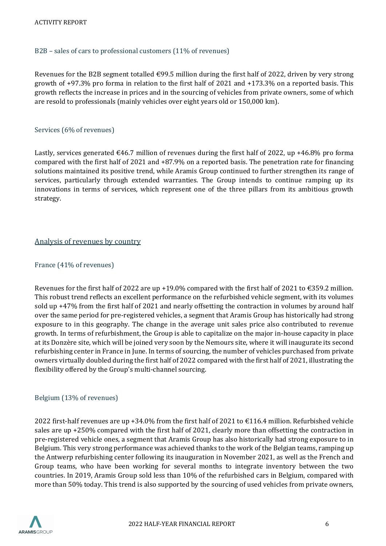#### B2B – sales of cars to professional customers (11% of revenues)

Revenues for the B2B segment totalled  $\epsilon$ 99.5 million during the first half of 2022, driven by very strong growth of +97.3% pro forma in relation to the first half of 2021 and +173.3% on a reported basis. This growth reflects the increase in prices and in the sourcing of vehicles from private owners, some of which are resold to professionals (mainly vehicles over eight years old or 150,000 km).

#### Services (6% of revenues)

Lastly, services generated  $\epsilon$ 46.7 million of revenues during the first half of 2022, up +46.8% pro forma compared with the first half of 2021 and +87.9% on a reported basis. The penetration rate for financing solutions maintained its positive trend, while Aramis Group continued to further strengthen its range of services, particularly through extended warranties. The Group intends to continue ramping up its innovations in terms of services, which represent one of the three pillars from its ambitious growth strategy.

#### Analysis of revenues by country

#### France (41% of revenues)

Revenues for the first half of 2022 are up +19.0% compared with the first half of 2021 to €359.2 million. This robust trend reflects an excellent performance on the refurbished vehicle segment, with its volumes sold up +47% from the first half of 2021 and nearly offsetting the contraction in volumes by around half over the same period for pre-registered vehicles, a segment that Aramis Group has historically had strong exposure to in this geography. The change in the average unit sales price also contributed to revenue growth. In terms of refurbishment, the Group is able to capitalize on the major in-house capacity in place at its Donzère site, which will be joined very soon by the Nemours site, where it will inaugurate its second refurbishing center in France in June. In terms of sourcing, the number of vehicles purchased from private owners virtually doubled during the first half of 2022 compared with the first half of 2021, illustrating the flexibility offered by the Group's multi-channel sourcing.

#### Belgium (13% of revenues)

2022 first-half revenues are up +34.0% from the first half of 2021 to  $\epsilon$ 116.4 million. Refurbished vehicle sales are up +250% compared with the first half of 2021, clearly more than offsetting the contraction in pre-registered vehicle ones, a segment that Aramis Group has also historically had strong exposure to in Belgium. This very strong performance was achieved thanks to the work of the Belgian teams, ramping up the Antwerp refurbishing center following its inauguration in November 2021, as well as the French and Group teams, who have been working for several months to integrate inventory between the two countries. In 2019, Aramis Group sold less than 10% of the refurbished cars in Belgium, compared with more than 50% today. This trend is also supported by the sourcing of used vehicles from private owners,

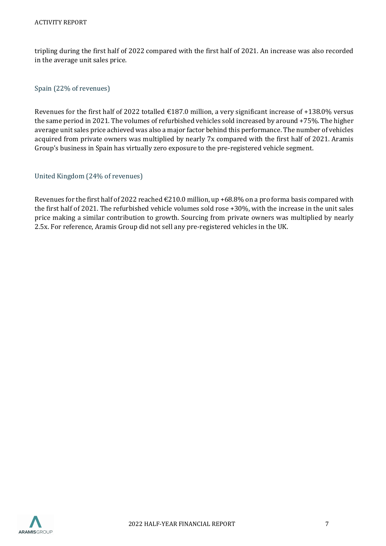tripling during the first half of 2022 compared with the first half of 2021. An increase was also recorded in the average unit sales price.

#### Spain (22% of revenues)

Revenues for the first half of 2022 totalled €187.0 million, a very significant increase of +138.0% versus the same period in 2021. The volumes of refurbished vehicles sold increased by around +75%. The higher average unit sales price achieved was also a major factor behind this performance. The number of vehicles acquired from private owners was multiplied by nearly 7x compared with the first half of 2021. Aramis Group's business in Spain has virtually zero exposure to the pre-registered vehicle segment.

#### United Kingdom (24% of revenues)

Revenues for the first half of 2022 reached  $\text{\textsterling}210.0$  million, up +68.8% on a pro forma basis compared with the first half of 2021. The refurbished vehicle volumes sold rose +30%, with the increase in the unit sales price making a similar contribution to growth. Sourcing from private owners was multiplied by nearly 2.5x. For reference, Aramis Group did not sell any pre-registered vehicles in the UK.

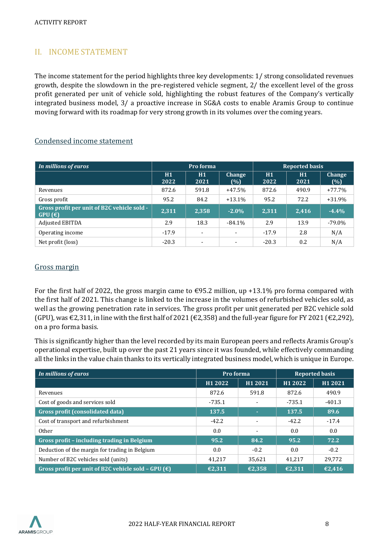# <span id="page-7-0"></span>II. INCOME STATEMENT

The income statement for the period highlights three key developments: 1/ strong consolidated revenues growth, despite the slowdown in the pre-registered vehicle segment, 2/ the excellent level of the gross profit generated per unit of vehicle sold, highlighting the robust features of the Company's vertically integrated business model, 3/ a proactive increase in SG&A costs to enable Aramis Group to continue moving forward with its roadmap for very strong growth in its volumes over the coming years.

### Condensed income statement

| In millions of euros                                  | Pro forma  |                          |                          | <b>Reported basis</b> |            |                      |  |
|-------------------------------------------------------|------------|--------------------------|--------------------------|-----------------------|------------|----------------------|--|
|                                                       | H1<br>2022 | H1<br>2021               | <b>Change</b><br>(%)     | H1<br>2022            | H1<br>2021 | <b>Change</b><br>(%) |  |
| Revenues                                              | 872.6      | 591.8                    | $+47.5%$                 | 872.6                 | 490.9      | $+77.7%$             |  |
| Gross profit                                          | 95.2       | 84.2                     | $+13.1%$                 | 95.2                  | 72.2       | $+31.9%$             |  |
| Gross profit per unit of B2C vehicle sold -<br>GPU(E) | 2,311      | 2,358                    | $-2.0\%$                 | 2.311                 | 2,416      | $-4.4%$              |  |
| <b>Adjusted EBITDA</b>                                | 2.9        | 18.3                     | -84.1%                   | 2.9                   | 13.9       | $-79.0\%$            |  |
| Operating income                                      | $-17.9$    | $\overline{\phantom{a}}$ | $\overline{\phantom{a}}$ | $-17.9$               | 2.8        | N/A                  |  |
| Net profit (loss)                                     | $-20.3$    | $\blacksquare$           | $\overline{\phantom{0}}$ | $-20.3$               | 0.2        | N/A                  |  |

### Gross margin

For the first half of 2022, the gross margin came to  $\epsilon$ 95.2 million, up +13.1% pro forma compared with the first half of 2021. This change is linked to the increase in the volumes of refurbished vehicles sold, as well as the growing penetration rate in services. The gross profit per unit generated per B2C vehicle sold (GPU), was €2,311, in line with the first half of 2021 (€2,358) and the full-year figure for FY 2021 (€2,292), on a pro forma basis.

This is significantly higher than the level recorded by its main European peers and reflects Aramis Group's operational expertise, built up over the past 21 years since it was founded, while effectively commanding all the links in the value chain thanks to its vertically integrated business model, which is unique in Europe.

| In millions of euros                                         | Pro forma |         |          | <b>Reported basis</b> |
|--------------------------------------------------------------|-----------|---------|----------|-----------------------|
|                                                              | H1 2022   | H1 2021 | H1 2022  | H1 2021               |
| Revenues                                                     | 872.6     | 591.8   | 872.6    | 490.9                 |
| Cost of goods and services sold                              | $-735.1$  |         | $-735.1$ | $-401.3$              |
| Gross profit (consolidated data)                             | 137.5     | ٠       | 137.5    | 89.6                  |
| Cost of transport and refurbishment                          | $-42.2$   |         | $-42.2$  | $-17.4$               |
| Other                                                        | 0.0       |         | 0.0      | 0.0                   |
| Gross profit - including trading in Belgium                  | 95.2      | 84.2    | 95.2     | 72.2                  |
| Deduction of the margin for trading in Belgium               | 0.0       | $-0.2$  | 0.0      | $-0.2$                |
| Number of B2C vehicles sold (units)                          | 41.217    | 35.621  | 41.217   | 29.772                |
| Gross profit per unit of B2C vehicle sold - GPU $(\epsilon)$ | €2.311    | €2.358  | €2.311   | €2.416                |

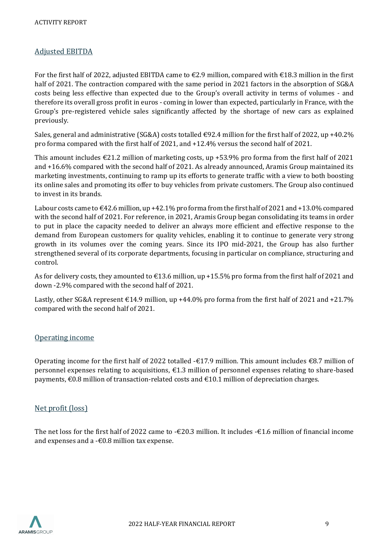# Adjusted EBITDA

For the first half of 2022, adjusted EBITDA came to  $\epsilon$ 2.9 million, compared with  $\epsilon$ 18.3 million in the first half of 2021. The contraction compared with the same period in 2021 factors in the absorption of SG&A costs being less effective than expected due to the Group's overall activity in terms of volumes - and therefore its overall gross profit in euros - coming in lower than expected, particularly in France, with the Group's pre-registered vehicle sales significantly affected by the shortage of new cars as explained previously.

Sales, general and administrative (SG&A) costs totalled €92.4 million for the first half of 2022, up +40.2% pro forma compared with the first half of 2021, and +12.4% versus the second half of 2021.

This amount includes  $\epsilon$ 21.2 million of marketing costs, up +53.9% pro forma from the first half of 2021 and +16.6% compared with the second half of 2021. As already announced, Aramis Group maintained its marketing investments, continuing to ramp up its efforts to generate traffic with a view to both boosting its online sales and promoting its offer to buy vehicles from private customers. The Group also continued to invest in its brands.

Labour costs came to €42.6 million, up +42.1% pro forma from the first half of 2021 and +13.0% compared with the second half of 2021. For reference, in 2021, Aramis Group began consolidating its teams in order to put in place the capacity needed to deliver an always more efficient and effective response to the demand from European customers for quality vehicles, enabling it to continue to generate very strong growth in its volumes over the coming years. Since its IPO mid-2021, the Group has also further strengthened several of its corporate departments, focusing in particular on compliance, structuring and control.

As for delivery costs, they amounted to €13.6 million, up +15.5% pro forma from the first half of 2021 and down -2.9% compared with the second half of 2021.

Lastly, other SG&A represent  $\epsilon$ 14.9 million, up +44.0% pro forma from the first half of 2021 and +21.7% compared with the second half of 2021.

# Operating income

Operating income for the first half of 2022 totalled  $-\epsilon$ 17.9 million. This amount includes  $\epsilon$ 8.7 million of personnel expenses relating to acquisitions, €1.3 million of personnel expenses relating to share-based payments, €0.8 million of transaction-related costs and €10.1 million of depreciation charges.

# Net profit (loss)

The net loss for the first half of 2022 came to  $-\epsilon 20.3$  million. It includes  $-\epsilon 1.6$  million of financial income and expenses and a  $-\epsilon$ 0.8 million tax expense.

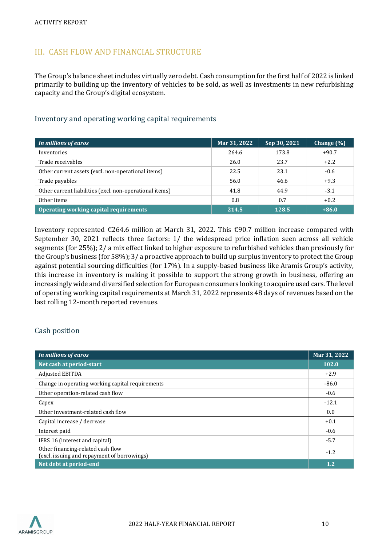# <span id="page-9-0"></span>III. CASH FLOW AND FINANCIAL STRUCTURE

The Group's balance sheet includes virtually zero debt. Cash consumption for the first half of 2022 is linked primarily to building up the inventory of vehicles to be sold, as well as investments in new refurbishing capacity and the Group's digital ecosystem.

### Inventory and operating working capital requirements

| In millions of euros                                    | Mar 31, 2022 | Sep 30, 2021 | Change (%) |
|---------------------------------------------------------|--------------|--------------|------------|
| Inventories                                             | 264.6        | 173.8        | $+90.7$    |
| Trade receivables                                       | 26.0         | 23.7         | $+2.2$     |
| Other current assets (excl. non-operational items)      | 22.5         | 23.1         | $-0.6$     |
| Trade payables                                          | 56.0         | 46.6         | $+9.3$     |
| Other current liabilities (excl. non-operational items) | 41.8         | 44.9         | $-3.1$     |
| Other items                                             | 0.8          | 0.7          | $+0.2$     |
| Operating working capital requirements                  | 214.5        | 128.5        | $+86.0$    |

Inventory represented €264.6 million at March 31, 2022. This €90.7 million increase compared with September 30, 2021 reflects three factors: 1/ the widespread price inflation seen across all vehicle segments (for 25%); 2/ a mix effect linked to higher exposure to refurbished vehicles than previously for the Group's business (for 58%); 3/ a proactive approach to build up surplus inventory to protect the Group against potential sourcing difficulties (for 17%). In a supply-based business like Aramis Group's activity, this increase in inventory is making it possible to support the strong growth in business, offering an increasingly wide and diversified selection for European consumers looking to acquire used cars. The level of operating working capital requirements at March 31, 2022 represents 48 days of revenues based on the last rolling 12-month reported revenues.

# Cash position

| In millions of euros                                                             | Mar 31, 2022 |
|----------------------------------------------------------------------------------|--------------|
| Net cash at period-start                                                         | 102.0        |
| <b>Adjusted EBITDA</b>                                                           | $+2.9$       |
| Change in operating working capital requirements                                 | $-86.0$      |
| Other operation-related cash flow                                                | $-0.6$       |
| Capex                                                                            | $-12.1$      |
| Other investment-related cash flow                                               | 0.0          |
| Capital increase / decrease                                                      | $+0.1$       |
| Interest paid                                                                    | $-0.6$       |
| IFRS 16 (interest and capital)                                                   | $-5.7$       |
| Other financing-related cash flow<br>(excl. issuing and repayment of borrowings) | $-1.2$       |
| Net debt at period-end                                                           | 1.2          |

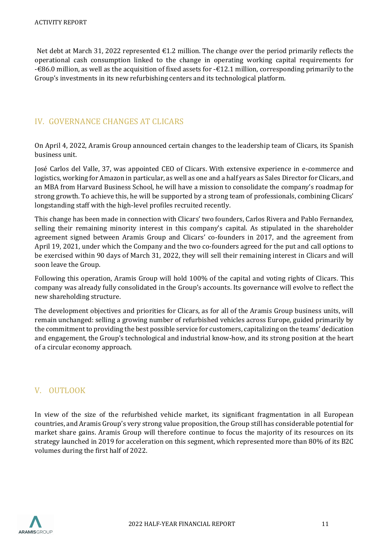Net debt at March 31, 2022 represented  $\epsilon$ 1.2 million. The change over the period primarily reflects the operational cash consumption linked to the change in operating working capital requirements for -€86.0 million, as well as the acquisition of fixed assets for -€12.1 million, corresponding primarily to the Group's investments in its new refurbishing centers and its technological platform.

# <span id="page-10-0"></span>IV. GOVERNANCE CHANGES AT CLICARS

On April 4, 2022, Aramis Group announced certain changes to the leadership team of Clicars, its Spanish business unit.

José Carlos del Valle, 37, was appointed CEO of Clicars. With extensive experience in e-commerce and logistics, working for Amazon in particular, as well as one and a half years as Sales Director for Clicars, and an MBA from Harvard Business School, he will have a mission to consolidate the company's roadmap for strong growth. To achieve this, he will be supported by a strong team of professionals, combining Clicars' longstanding staff with the high-level profiles recruited recently.

This change has been made in connection with Clicars' two founders, Carlos Rivera and Pablo Fernandez, selling their remaining minority interest in this company's capital. As stipulated in the shareholder agreement signed between Aramis Group and Clicars' co-founders in 2017, and the agreement from April 19, 2021, under which the Company and the two co-founders agreed for the put and call options to be exercised within 90 days of March 31, 2022, they will sell their remaining interest in Clicars and will soon leave the Group.

Following this operation, Aramis Group will hold 100% of the capital and voting rights of Clicars. This company was already fully consolidated in the Group's accounts. Its governance will evolve to reflect the new shareholding structure.

The development objectives and priorities for Clicars, as for all of the Aramis Group business units, will remain unchanged: selling a growing number of refurbished vehicles across Europe, guided primarily by the commitment to providing the best possible service for customers, capitalizing on the teams' dedication and engagement, the Group's technological and industrial know-how, and its strong position at the heart of a circular economy approach.

# <span id="page-10-1"></span>V. OUTLOOK

In view of the size of the refurbished vehicle market, its significant fragmentation in all European countries, and Aramis Group's very strong value proposition, the Group still has considerable potential for market share gains. Aramis Group will therefore continue to focus the majority of its resources on its strategy launched in 2019 for acceleration on this segment, which represented more than 80% of its B2C volumes during the first half of 2022.

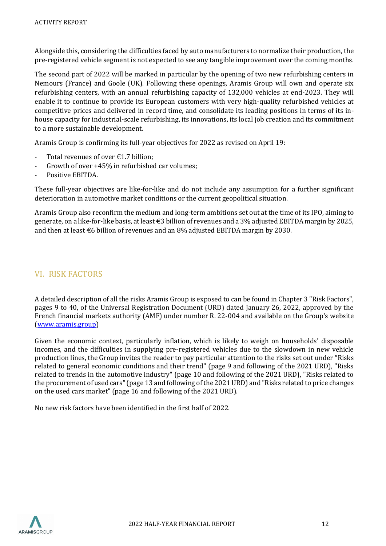Alongside this, considering the difficulties faced by auto manufacturers to normalize their production, the pre-registered vehicle segment is not expected to see any tangible improvement over the coming months.

The second part of 2022 will be marked in particular by the opening of two new refurbishing centers in Nemours (France) and Goole (UK). Following these openings, Aramis Group will own and operate six refurbishing centers, with an annual refurbishing capacity of 132,000 vehicles at end-2023. They will enable it to continue to provide its European customers with very high-quality refurbished vehicles at competitive prices and delivered in record time, and consolidate its leading positions in terms of its inhouse capacity for industrial-scale refurbishing, its innovations, its local job creation and its commitment to a more sustainable development.

Aramis Group is confirming its full-year objectives for 2022 as revised on April 19:

- Total revenues of over  $\epsilon$ 1.7 billion:
- Growth of over +45% in refurbished car volumes;
- Positive EBITDA.

These full-year objectives are like-for-like and do not include any assumption for a further significant deterioration in automotive market conditions or the current geopolitical situation.

Aramis Group also reconfirm the medium and long-term ambitions set out at the time of its IPO, aiming to generate, on a like-for-like basis, at least €3 billion of revenues and a 3% adjusted EBITDA margin by 2025, and then at least €6 billion of revenues and an 8% adjusted EBITDA margin by 2030.

#### <span id="page-11-0"></span>VI. RISK FACTORS

A detailed description of all the risks Aramis Group is exposed to can be found in Chapter 3 "Risk Factors", pages 9 to 40, of the Universal Registration Document (URD) dated January 26, 2022, approved by the French financial markets authority (AMF) under number R. 22-004 and available on the Group's website [\(www.aramis.group\)](http://www.aramis.group/)

Given the economic context, particularly inflation, which is likely to weigh on households' disposable incomes, and the difficulties in supplying pre-registered vehicles due to the slowdown in new vehicle production lines, the Group invites the reader to pay particular attention to the risks set out under "Risks related to general economic conditions and their trend" (page 9 and following of the 2021 URD), "Risks related to trends in the automotive industry" (page 10 and following of the 2021 URD), "Risks related to the procurement of used cars" (page 13 and following of the 2021 URD) and "Risks related to price changes on the used cars market" (page 16 and following of the 2021 URD).

No new risk factors have been identified in the first half of 2022.

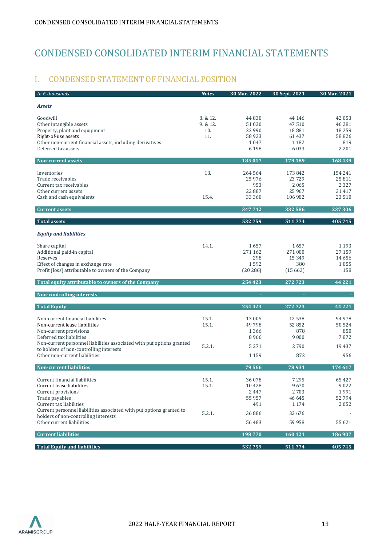# <span id="page-12-0"></span>CONDENSED CONSOLIDATED INTERIM FINANCIAL STATEMENTS

# <span id="page-12-1"></span>I. CONDENSED STATEMENT OF FINANCIAL POSITION

| In $\epsilon$ thousands                                                                                                                                                                                                                       | Notes                            | 30 Mar. 2022                                           | 30 Sept. 2021                                          | 30 Mar. 2021                                              |
|-----------------------------------------------------------------------------------------------------------------------------------------------------------------------------------------------------------------------------------------------|----------------------------------|--------------------------------------------------------|--------------------------------------------------------|-----------------------------------------------------------|
| <b>Assets</b>                                                                                                                                                                                                                                 |                                  |                                                        |                                                        |                                                           |
| Goodwill<br>Other intangible assets<br>Property, plant and equipment<br>Right-of-use assets<br>Other non-current financial assets, including derivatives<br>Deferred tax assets                                                               | 8. & 12.<br>9.812.<br>10.<br>11. | 44 830<br>51 030<br>22 990<br>58923<br>1047<br>6 1 9 8 | 44 14 6<br>47510<br>18881<br>61 437<br>1 1 8 2<br>6033 | 42 053<br>46 281<br>18 2 5 9<br>58 8 26<br>819<br>2 2 0 1 |
| <b>Non-current assets</b>                                                                                                                                                                                                                     |                                  | 185 017                                                | 179 189                                                | 168439                                                    |
| Inventories<br>Trade receivables<br>Current tax receivables<br>Other current assets<br>Cash and cash equivalents                                                                                                                              | 13.<br>15.4.                     | 264 564<br>25 9 76<br>953<br>22 8 8 7<br>33 360        | 173 842<br>23729<br>2065<br>25 9 67<br>106 982         | 154 241<br>25 811<br>2 3 2 7<br>31 4 1 7<br>23 5 10       |
| <b>Current assets</b>                                                                                                                                                                                                                         |                                  | 347742                                                 | 332 586                                                | 237306                                                    |
| <b>Total assets</b>                                                                                                                                                                                                                           |                                  | 532759                                                 | 511774                                                 | 405745                                                    |
| <b>Equity and liabilities</b>                                                                                                                                                                                                                 |                                  |                                                        |                                                        |                                                           |
| Share capital<br>Additional paid-in capital<br>Reserves<br>Effect of changes in exchange rate<br>Profit (loss) attributable to owners of the Company                                                                                          | 14.1.                            | 1657<br>271 162<br>298<br>1592<br>(20286)              | 1657<br>271 000<br>15 3 4 9<br>380<br>(15663)          | 1 1 9 3<br>27 159<br>14 656<br>1055<br>158                |
| Total equity attributable to owners of the Company                                                                                                                                                                                            |                                  | 254 423                                                | 272723                                                 | 44 2 2 1                                                  |
| Non-controlling interests                                                                                                                                                                                                                     |                                  |                                                        |                                                        |                                                           |
| <b>Total Equity</b>                                                                                                                                                                                                                           |                                  | 254 423                                                | 272723                                                 | 44 2 2 1                                                  |
| Non-current financial liabilities<br>Non-current lease liabilities<br>Non-current provisions<br>Deferred tax liabilities                                                                                                                      | 15.1.<br>15.1.                   | 13 005<br>49 798<br>1366<br>8966                       | 12 538<br>52852<br>878<br>9000                         | 94 978<br>50 524<br>850<br>7872                           |
| Non-current personnel liabilities associated with put options granted<br>to holders of non-controlling interests<br>Other non-current liabilities                                                                                             | 5.2.1.                           | 5 2 7 1<br>1 1 5 9                                     | 2790<br>872                                            | 19 4 37<br>956                                            |
| <b>Non-current liabilities</b>                                                                                                                                                                                                                |                                  | 79566                                                  | 78931                                                  | 174 617                                                   |
| Current financial liabilities<br>Current lease liabilities<br>Current provisions<br>Trade payables<br>Current tax liabilities<br>Current personnel liabilities associated with put options granted to<br>holders of non-controlling interests | 15.1.<br>15.1.<br>5.2.1.         | 36 078<br>10428<br>2447<br>55 957<br>491<br>36 886     | 7295<br>9670<br>2703<br>46 645<br>1 1 7 4<br>32 676    | 65 427<br>9022<br>1991<br>52794<br>2052                   |
| Other current liabilities                                                                                                                                                                                                                     |                                  | 56 483                                                 | 59 958                                                 | 55 621                                                    |
| <b>Current liabilities</b>                                                                                                                                                                                                                    |                                  | 198770                                                 | 160 121                                                | 186 907                                                   |
| <b>Total Equity and liabilities</b>                                                                                                                                                                                                           |                                  | 532759                                                 | 511774                                                 | 405 745                                                   |

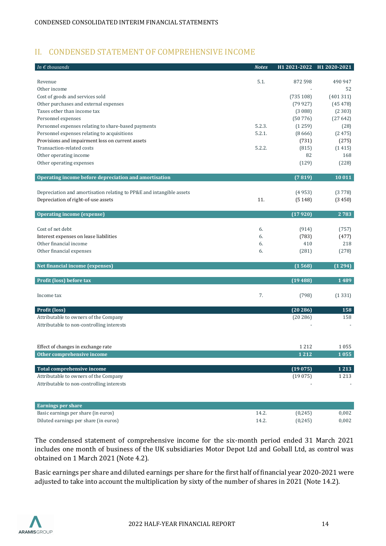# <span id="page-13-0"></span>II. CONDENSED STATEMENT OF COMPREHENSIVE INCOME

| In $\epsilon$ thousands                                              | <b>Notes</b> | H1 2021-2022 | H1 2020-2021 |
|----------------------------------------------------------------------|--------------|--------------|--------------|
|                                                                      |              |              |              |
| Revenue                                                              | 5.1.         | 872 598      | 490 947      |
| Other income                                                         |              |              | 52           |
| Cost of goods and services sold                                      |              | (735108)     | (401311)     |
| Other purchases and external expenses                                |              | (79927)      | (45478)      |
| Taxes other than income tax                                          |              | (3088)       | (2303)       |
| Personnel expenses                                                   |              | (50776)      | (27642)      |
| Personnel expenses relating to share-based payments                  | 5.2.3.       | (1259)       | (28)         |
| Personnel expenses relating to acquisitions                          | 5.2.1.       | (8666)       | (2475)       |
| Provisions and impairment loss on current assets                     |              | (731)        | (275)        |
| Transaction-related costs                                            | 5.2.2.       | (815)        | (1415)       |
| Other operating income                                               |              | 82           | 168          |
| Other operating expenses                                             |              | (129)        | (228)        |
| Operating income before depreciation and amortisation                |              | (7819)       | 10 011       |
|                                                                      |              |              |              |
| Depreciation and amortisation relating to PP&E and intangible assets |              | (4953)       | (3778)       |
| Depreciation of right-of-use assets                                  | 11.          | (5148)       | (3450)       |
| <b>Operating income (expense)</b>                                    |              | (17920)      | 2783         |
|                                                                      |              |              |              |
| Cost of net debt                                                     | 6.           | (914)        | (757)        |
| Interest expenses on lease liabilities                               | 6.           | (783)        | (477)        |
| Other financial income                                               | 6.           | 410          | 218          |
| Other financial expenses                                             | 6.           | (281)        | (278)        |
|                                                                      |              |              |              |
| Net financial income (expenses)                                      |              | (1568)       | (1294)       |
| Profit (loss) before tax                                             |              | (19488)      | 1489         |
|                                                                      |              |              |              |
| Income tax                                                           | 7.           | (798)        | (1331)       |
|                                                                      |              |              |              |
| Profit (loss)                                                        |              | (20286)      | 158          |
| Attributable to owners of the Company                                |              | (20286)      | 158          |
| Attributable to non-controlling interests                            |              |              |              |
|                                                                      |              |              |              |
| Effect of changes in exchange rate                                   |              | 1212         | 1055         |
| Other comprehensive income                                           |              | 1 212        | 1055         |
|                                                                      |              |              |              |
| Total comprehensive income                                           |              | (19075)      | 1213         |
| Attributable to owners of the Company                                |              | (19075)      | 1 2 1 3      |
| Attributable to non-controlling interests                            |              |              |              |
|                                                                      |              |              |              |
| <b>Earnings per share</b>                                            |              |              |              |
| Basic earnings per share (in euros)                                  | 14.2.        | (0, 245)     | 0,002        |
| Diluted earnings per share (in euros)                                | 14.2.        | (0, 245)     | 0,002        |

The condensed statement of comprehensive income for the six-month period ended 31 March 2021 includes one month of business of the UK subsidiaries Motor Depot Ltd and Goball Ltd, as control was obtained on 1 March 2021 (Note 4.2).

Basic earnings per share and diluted earnings per share for the first half of financial year 2020-2021 were adjusted to take into account the multiplication by sixty of the number of shares in 2021 (Note 14.2).

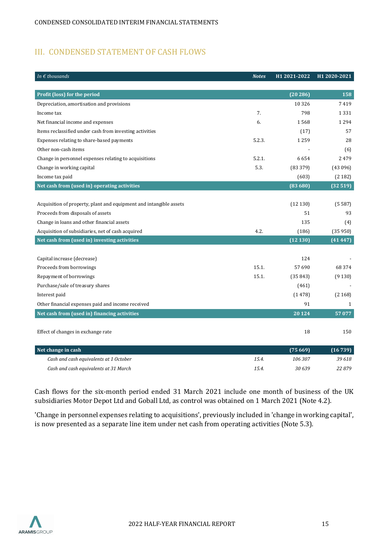# <span id="page-14-0"></span>III. CONDENSED STATEMENT OF CASH FLOWS

| In $\epsilon$ thousands                                            | <b>Notes</b> | H1 2021-2022 | H1 2020-2021 |
|--------------------------------------------------------------------|--------------|--------------|--------------|
|                                                                    |              |              |              |
| Profit (loss) for the period                                       |              | (20286)      | 158          |
| Depreciation, amortisation and provisions                          |              | 10 3 26      | 7419         |
| Income tax                                                         | 7.           | 798          | 1331         |
| Net financial income and expenses                                  | 6.           | 1568         | 1294         |
| Items reclassified under cash from investing activities            |              | (17)         | 57           |
| Expenses relating to share-based payments                          | 5.2.3.       | 1 2 5 9      | 28           |
| Other non-cash items                                               |              |              | (6)          |
| Change in personnel expenses relating to acquisitions              | 5.2.1.       | 6654         | 2479         |
| Change in working capital                                          | 5.3.         | (83379)      | (43096)      |
| Income tax paid                                                    |              | (603)        | (2182)       |
| Net cash from (used in) operating activities                       |              | (83680)      | (32519)      |
|                                                                    |              |              |              |
| Acquisition of property, plant and equipment and intangible assets |              | (12130)      | (5587)       |
| Proceeds from disposals of assets                                  |              | 51           | 93           |
| Change in loans and other financial assets                         |              | 135          | (4)          |
| Acquisition of subsidiaries, net of cash acquired                  | 4.2.         | (186)        | (35950)      |
| Net cash from (used in) investing activities                       |              | (12130)      | (41447)      |
|                                                                    |              |              |              |
| Capital increase (decrease)                                        |              | 124          |              |
| Proceeds from borrowings                                           | 15.1.        | 57 690       | 68 374       |
| Repayment of borrowings                                            | 15.1.        | (35843)      | (9130)       |
| Purchase/sale of treasury shares                                   |              | (461)        |              |
| Interest paid                                                      |              | (1478)       | (2168)       |
| Other financial expenses paid and income received                  |              | 91           | 1            |
| Net cash from (used in) financing activities                       |              | 20124        | 57 077       |
|                                                                    |              |              |              |
| Effect of changes in exchange rate                                 |              | 18           | 150          |
|                                                                    |              |              |              |
| Net change in cash                                                 |              | (75669)      | (16739)      |
| Cash and cash equivalents at 1 October                             | 15.4.        | 106307       | 39 618       |
| Cash and cash equivalents at 31 March                              | 15.4.        | 30 639       | 22879        |

Cash flows for the six-month period ended 31 March 2021 include one month of business of the UK subsidiaries Motor Depot Ltd and Goball Ltd, as control was obtained on 1 March 2021 (Note 4.2).

'Change in personnel expenses relating to acquisitions', previously included in 'change in working capital', is now presented as a separate line item under net cash from operating activities (Note 5.3).

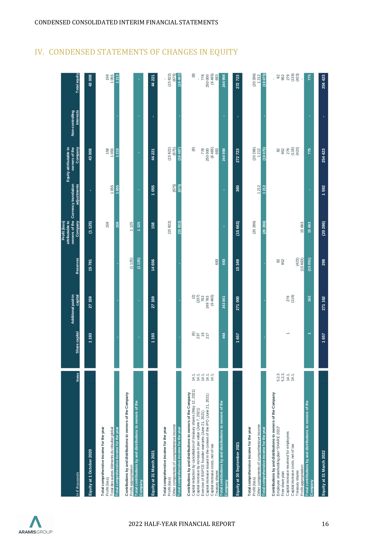| In $\epsilon$ thousands                                                                                                                                                                                                                                                                                                                                                            | Notes                                    | Share capital                                                  | Additional paid-in<br>capital      | Reserves                      | owners of the Currency translation<br>attributable to<br>Profit (loss)<br>Company | adjustments    | owners of the<br>Equity attributable to<br>Company | Non-controlling<br>interests | <b>Total equity</b>                                             |
|------------------------------------------------------------------------------------------------------------------------------------------------------------------------------------------------------------------------------------------------------------------------------------------------------------------------------------------------------------------------------------|------------------------------------------|----------------------------------------------------------------|------------------------------------|-------------------------------|-----------------------------------------------------------------------------------|----------------|----------------------------------------------------|------------------------------|-----------------------------------------------------------------|
| Equity at 1 October 2020                                                                                                                                                                                                                                                                                                                                                           |                                          | 1 193                                                          | 27 159                             | 15781                         | (1 125)                                                                           | í.             | 43008                                              |                              | 43008                                                           |
| Total des autres éléments du résultat global<br>Total comprehensive income for the year<br>Total comprehensive income for the year<br>Profit (loss)                                                                                                                                                                                                                                |                                          |                                                                |                                    |                               | 158<br>158                                                                        | 1055<br>1055   | 158<br>1055<br>1213                                |                              | 1213<br>158<br>1055                                             |
| Contributions by and distributions to owners of the Company<br>Total contributions by and distributions to owners of the<br>Profit appropriation<br><b>Company</b>                                                                                                                                                                                                                 |                                          | ٠                                                              | п                                  | (1 125)<br>(1125)             | 1125<br>1125                                                                      | r,             | ×                                                  |                              |                                                                 |
| Equity at 31 March 2021                                                                                                                                                                                                                                                                                                                                                            |                                          | 1 193                                                          | 27159                              | 14 656                        | 158                                                                               | 1055           | 44 221                                             | ×,                           | 44 221                                                          |
| Other components of comprehensive income<br>Total comprehensive income for the year<br>Total comprehensive income for the year<br>Profit (loss)                                                                                                                                                                                                                                    |                                          |                                                                |                                    |                               | (15822)<br>(15822)                                                                | (675)<br>(675) | (675)<br>(15 822)<br>(16497)                       |                              | (15822)<br>(16497)<br>(675)                                     |
| Capital reduction by cancellation of treasury shares (May 12, 2021)<br>Contributions by and distributions to owners of the Company<br>Capital increase issued in the context of the IPO (June 21, 2021)<br>Capital increase by increase in par value (June 7, 2021)<br>Exercise of BSPCE founder warrants (June 21, 2021)<br>Capital increase costs, net of tax<br>Treasury shares | 14.1.<br>14.1.<br>14.1.<br>14.1.<br>14.1 | $\frac{\text{\tiny{(6)}}}{\text{\tiny{237}}}$<br>$16$<br>$217$ | $\frac{2}{2}$<br>(6465)<br>249 783 | 693                           |                                                                                   |                | (6465)<br>⊛<br>778<br>250 000<br>693               |                              | (6465)<br>$\circledR$<br>250000<br>778<br>693<br>í.             |
| Total contributions by and distributions to owners of the<br>Company                                                                                                                                                                                                                                                                                                               |                                          | 464                                                            | 243 841                            | 693                           | ï                                                                                 | ï              | 244 998                                            | ï                            | 244 998                                                         |
| Equity at 30 September 2021                                                                                                                                                                                                                                                                                                                                                        |                                          | 1657                                                           | 271000                             | 15349                         | (15663)                                                                           | 380            | 272723                                             | ٠                            | 272723                                                          |
| Other components of comprehensive income<br>Total comprehensive income for the year<br>Total comprehensive income for the year<br>Profit (loss)                                                                                                                                                                                                                                    |                                          |                                                                |                                    |                               | (20 286)<br>(20286)                                                               | 1212<br>1212   | (20 286)<br>1212<br>(19075)                        |                              | (20 286)<br>(19075)<br>1212                                     |
| Contributions by and distributions to owners of the Company<br>Employee shareholding plan "SHARE 2022"<br>Capital increase reserved for employees<br>Capital increase costs, net of tax<br>Profit appropriation<br>Treasury shares<br>Free share plan                                                                                                                              | 5.2.3.<br>5.2.3.<br>14.1.<br>14.1.       | $\overline{\phantom{0}}$                                       | 278<br>(116)                       | (423)<br>82<br>952<br>(15663) | 15 663                                                                            |                | 952<br>279<br>(10)<br>(423)<br>$82$                |                              | $952$<br>$279$<br>$(16)$<br>$(423)$<br>$82\,$<br>$\blacksquare$ |
| Total contributions by and distributions to owners of the<br>Company                                                                                                                                                                                                                                                                                                               |                                          | $\overline{\phantom{0}}$                                       | 162                                | (15051)                       | 15 663                                                                            | í,             | 775                                                | r,                           | 775                                                             |
| Equity at 31 March 2022                                                                                                                                                                                                                                                                                                                                                            |                                          | 1657                                                           | 271 162                            | 298                           | (20286)                                                                           | 1592           | 254 423                                            | ï                            | 254 423                                                         |

# <span id="page-15-0"></span>IV. CONDENSED STATEMENTS OF CHANGES IN EQUITY

CONDENSED CONSOLIDATED INTERIM FINANCIAL STATEMENTS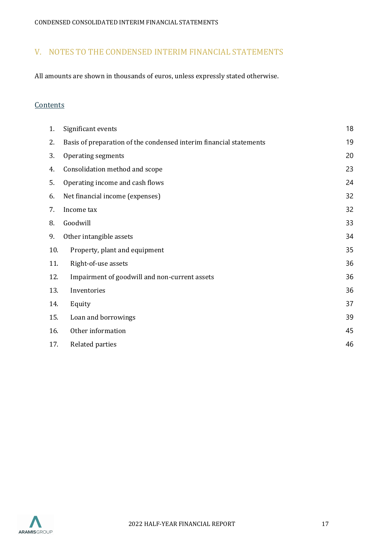# <span id="page-16-0"></span>V. NOTES TO THE CONDENSED INTERIM FINANCIAL STATEMENTS

All amounts are shown in thousands of euros, unless expressly stated otherwise.

# **Contents**

| 1.  | Significant events                                                 | 18 |
|-----|--------------------------------------------------------------------|----|
| 2.  | Basis of preparation of the condensed interim financial statements | 19 |
| 3.  | Operating segments                                                 | 20 |
| 4.  | Consolidation method and scope                                     | 23 |
| 5.  | Operating income and cash flows                                    | 24 |
| 6.  | Net financial income (expenses)                                    | 32 |
| 7.  | Income tax                                                         | 32 |
| 8.  | Goodwill                                                           | 33 |
| 9.  | Other intangible assets                                            | 34 |
| 10. | Property, plant and equipment                                      | 35 |
| 11. | Right-of-use assets                                                | 36 |
| 12. | Impairment of goodwill and non-current assets                      | 36 |
| 13. | Inventories                                                        | 36 |
| 14. | Equity                                                             | 37 |
| 15. | Loan and borrowings                                                | 39 |
| 16. | Other information                                                  | 45 |
| 17. | Related parties                                                    | 46 |

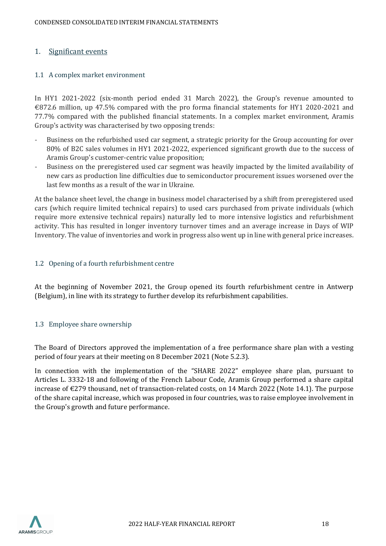### <span id="page-17-0"></span>1. Significant events

#### 1.1 A complex market environment

In HY1 2021-2022 (six-month period ended 31 March 2022), the Group's revenue amounted to €872.6 million, up 47.5% compared with the pro forma financial statements for HY1 2020-2021 and 77.7% compared with the published financial statements. In a complex market environment, Aramis Group's activity was characterised by two opposing trends:

- Business on the refurbished used car segment, a strategic priority for the Group accounting for over 80% of B2C sales volumes in HY1 2021-2022, experienced significant growth due to the success of Aramis Group's customer-centric value proposition;
- Business on the preregistered used car segment was heavily impacted by the limited availability of new cars as production line difficulties due to semiconductor procurement issues worsened over the last few months as a result of the war in Ukraine.

At the balance sheet level, the change in business model characterised by a shift from preregistered used cars (which require limited technical repairs) to used cars purchased from private individuals (which require more extensive technical repairs) naturally led to more intensive logistics and refurbishment activity. This has resulted in longer inventory turnover times and an average increase in Days of WIP Inventory. The value of inventories and work in progress also went up in line with general price increases.

#### 1.2 Opening of a fourth refurbishment centre

At the beginning of November 2021, the Group opened its fourth refurbishment centre in Antwerp (Belgium), in line with its strategy to further develop its refurbishment capabilities.

#### 1.3 Employee share ownership

The Board of Directors approved the implementation of a free performance share plan with a vesting period of four years at their meeting on 8 December 2021 (Note 5.2.3).

In connection with the implementation of the "SHARE 2022" employee share plan, pursuant to Articles L. 3332-18 and following of the French Labour Code, Aramis Group performed a share capital increase of  $\epsilon$ 279 thousand, net of transaction-related costs, on 14 March 2022 (Note 14.1). The purpose of the share capital increase, which was proposed in four countries, was to raise employee involvement in the Group's growth and future performance.

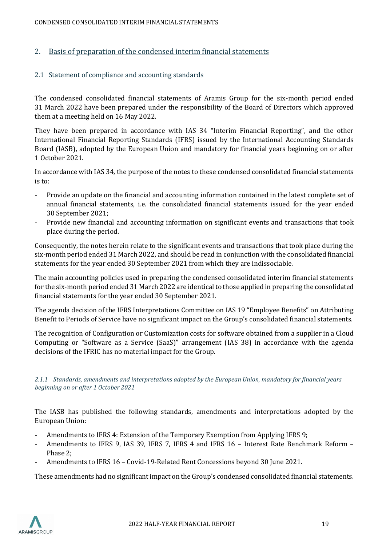#### <span id="page-18-0"></span>2. Basis of preparation of the condensed interim financial statements

#### 2.1 Statement of compliance and accounting standards

The condensed consolidated financial statements of Aramis Group for the six-month period ended 31 March 2022 have been prepared under the responsibility of the Board of Directors which approved them at a meeting held on 16 May 2022.

They have been prepared in accordance with IAS 34 "Interim Financial Reporting", and the other International Financial Reporting Standards (IFRS) issued by the International Accounting Standards Board (IASB), adopted by the European Union and mandatory for financial years beginning on or after 1 October 2021.

In accordance with IAS 34, the purpose of the notes to these condensed consolidated financial statements is to:

- Provide an update on the financial and accounting information contained in the latest complete set of annual financial statements, i.e. the consolidated financial statements issued for the year ended 30 September 2021;
- Provide new financial and accounting information on significant events and transactions that took place during the period.

Consequently, the notes herein relate to the significant events and transactions that took place during the six-month period ended 31 March 2022, and should be read in conjunction with the consolidated financial statements for the year ended 30 September 2021 from which they are indissociable.

The main accounting policies used in preparing the condensed consolidated interim financial statements for the six-month period ended 31 March 2022 are identical to those applied in preparing the consolidated financial statements for the year ended 30 September 2021.

The agenda decision of the IFRS Interpretations Committee on IAS 19 "Employee Benefits" on Attributing Benefit to Periods of Service have no significant impact on the Group's consolidated financial statements.

The recognition of Configuration or Customization costs for software obtained from a supplier in a Cloud Computing or "Software as a Service (SaaS)" arrangement (IAS 38) in accordance with the agenda decisions of the IFRIC has no material impact for the Group.

*2.1.1 Standards, amendments and interpretations adopted by the European Union, mandatory for financial years beginning on or after 1 October 2021*

The IASB has published the following standards, amendments and interpretations adopted by the European Union:

- Amendments to IFRS 4: Extension of the Temporary Exemption from Applying IFRS 9;
- Amendments to IFRS 9, IAS 39, IFRS 7, IFRS 4 and IFRS 16 Interest Rate Benchmark Reform -Phase 2;
- Amendments to IFRS 16 Covid-19-Related Rent Concessions beyond 30 June 2021.

These amendments had no significant impact on the Group's condensed consolidated financial statements.

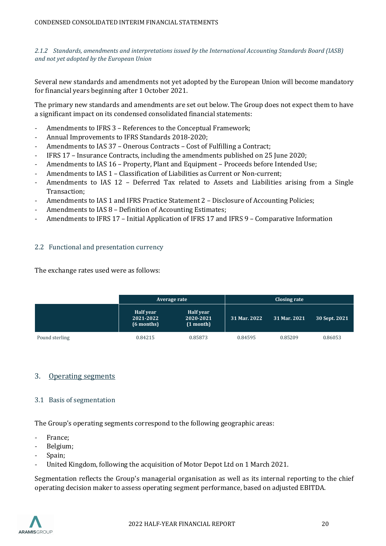*2.1.2 Standards, amendments and interpretations issued by the International Accounting Standards Board (IASB) and not yet adopted by the European Union*

Several new standards and amendments not yet adopted by the European Union will become mandatory for financial years beginning after 1 October 2021.

The primary new standards and amendments are set out below. The Group does not expect them to have a significant impact on its condensed consolidated financial statements:

- Amendments to IFRS 3 References to the Conceptual Framework;
- Annual Improvements to IFRS Standards 2018-2020;
- Amendments to IAS 37 Onerous Contracts Cost of Fulfilling a Contract;
- IFRS 17 Insurance Contracts, including the amendments published on 25 June 2020;
- Amendments to IAS 16 Property, Plant and Equipment Proceeds before Intended Use;
- Amendments to IAS 1 Classification of Liabilities as Current or Non-current;
- Amendments to IAS 12 Deferred Tax related to Assets and Liabilities arising from a Single Transaction;
- Amendments to IAS 1 and IFRS Practice Statement 2 Disclosure of Accounting Policies;
- Amendments to IAS 8 Definition of Accounting Estimates;
- Amendments to IFRS 17 Initial Application of IFRS 17 and IFRS 9 Comparative Information

#### 2.2 Functional and presentation currency

The exchange rates used were as follows:

|                |                                      | Average rate                        |              | Closing rate |               |
|----------------|--------------------------------------|-------------------------------------|--------------|--------------|---------------|
|                | Half year<br>2021-2022<br>(6 months) | Half year<br>2020-2021<br>(1 month) | 31 Mar. 2022 | 31 Mar. 2021 | 30 Sept. 2021 |
| Pound sterling | 0.84215                              | 0.85873                             | 0.84595      | 0.85209      | 0.86053       |

#### <span id="page-19-0"></span>3. Operating segments

#### 3.1 Basis of segmentation

The Group's operating segments correspond to the following geographic areas:

- France;
- Belgium;
- Spain;
- United Kingdom, following the acquisition of Motor Depot Ltd on 1 March 2021.

Segmentation reflects the Group's managerial organisation as well as its internal reporting to the chief operating decision maker to assess operating segment performance, based on adjusted EBITDA.

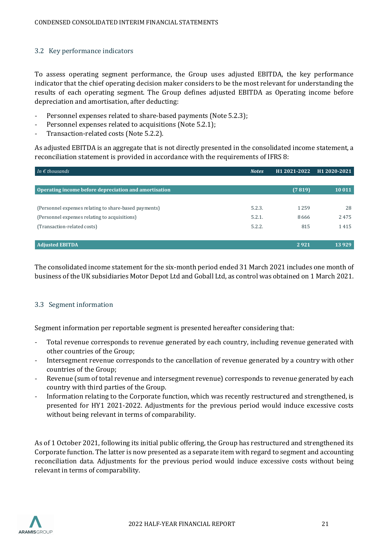#### 3.2 Key performance indicators

To assess operating segment performance, the Group uses adjusted EBITDA, the key performance indicator that the chief operating decision maker considers to be the most relevant for understanding the results of each operating segment. The Group defines adjusted EBITDA as Operating income before depreciation and amortisation, after deducting:

- Personnel expenses related to share-based payments (Note 5.2.3);
- Personnel expenses related to acquisitions (Note 5.2.1);
- Transaction-related costs (Note 5.2.2).

As adjusted EBITDA is an aggregate that is not directly presented in the consolidated income statement, a reconciliation statement is provided in accordance with the requirements of IFRS 8:

| In $\epsilon$ thousands                               | <b>Notes</b> | H1 2021-2022 | H1 2020-2021 |
|-------------------------------------------------------|--------------|--------------|--------------|
|                                                       |              |              |              |
| Operating income before depreciation and amortisation |              | (7819)       | 10 011       |
|                                                       |              |              |              |
| (Personnel expenses relating to share-based payments) | 5.2.3.       | 1259         | 28           |
| (Personnel expenses relating to acquisitions)         | 5.2.1.       | 8666         | 2475         |
| (Transaction-related costs)                           | 5.2.2.       | 815          | 1415         |
|                                                       |              |              |              |
| <b>Adjusted EBITDA</b>                                |              | 2921         | 13 9 29      |

The consolidated income statement for the six-month period ended 31 March 2021 includes one month of business of the UK subsidiaries Motor Depot Ltd and Goball Ltd, as control was obtained on 1 March 2021.

#### 3.3 Segment information

Segment information per reportable segment is presented hereafter considering that:

- Total revenue corresponds to revenue generated by each country, including revenue generated with other countries of the Group;
- Intersegment revenue corresponds to the cancellation of revenue generated by a country with other countries of the Group;
- Revenue (sum of total revenue and intersegment revenue) corresponds to revenue generated by each country with third parties of the Group.
- Information relating to the Corporate function, which was recently restructured and strengthened, is presented for HY1 2021-2022. Adjustments for the previous period would induce excessive costs without being relevant in terms of comparability.

As of 1 October 2021, following its initial public offering, the Group has restructured and strengthened its Corporate function. The latter is now presented as a separate item with regard to segment and accounting reconciliation data. Adjustments for the previous period would induce excessive costs without being relevant in terms of comparability.

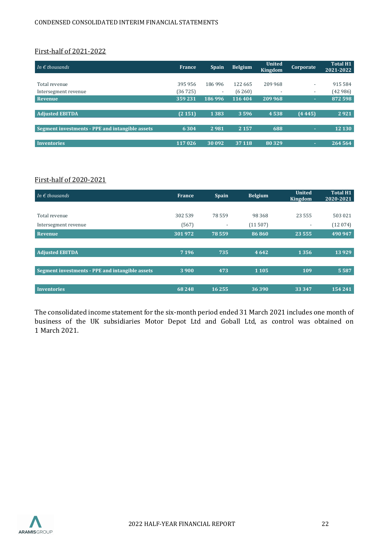#### First-half of 2021-2022

| In $\epsilon$ thousands                         | France  | <b>Spain</b>             | <b>Belgium</b> | <b>United</b><br>Kingdom | <b>Corporate</b>         | <b>Total H1</b><br>2021-2022 |
|-------------------------------------------------|---------|--------------------------|----------------|--------------------------|--------------------------|------------------------------|
|                                                 |         |                          |                |                          |                          |                              |
| Total revenue                                   | 395 956 | 186996                   | 122 665        | 209 968                  | $\overline{\phantom{a}}$ | 915 584                      |
| Intersegment revenue                            | (36725) | $\overline{\phantom{a}}$ | (6260)         | $\overline{\phantom{a}}$ | $\overline{\phantom{a}}$ | (42986)                      |
| Revenue                                         | 359231  | 186 996                  | 116 404        | 209 968                  | $\sim$                   | 872 598                      |
|                                                 |         |                          |                |                          |                          |                              |
| <b>Adjusted EBITDA</b>                          | (2151)  | 1383                     | 3596           | 4538                     | (4445)                   | 2921                         |
|                                                 |         |                          |                |                          |                          |                              |
| Segment investments - PPE and intangible assets | 6 3 0 4 | 2981                     | 2 1 5 7        | 688                      | ÷                        | 12 130                       |
|                                                 |         |                          |                |                          |                          |                              |
| <b>Inventories</b>                              | 117 026 | 30 092                   | 37 118         | 80329                    | ÷                        | 264 564                      |

# First-half of 2020-2021

| In $\epsilon$ thousands                         | <b>France</b> | <b>Spain</b>             | <b>Belgium</b> | United<br>Kingdom        | <b>Total H1</b><br>2020-2021 |
|-------------------------------------------------|---------------|--------------------------|----------------|--------------------------|------------------------------|
|                                                 |               |                          |                |                          |                              |
| Total revenue                                   | 302 539       | 78 559                   | 98 3 68        | 23 5 5 5                 | 503 021                      |
| Intersegment revenue                            | (567)         | $\overline{\phantom{a}}$ | (11507)        | $\overline{\phantom{a}}$ | (12074)                      |
| Revenue                                         | 301972        | 78 559                   | 86860          | 23555                    | 490 947                      |
|                                                 |               |                          |                |                          |                              |
| <b>Adjusted EBITDA</b>                          | 7 1 9 6       | 735                      | 4 6 4 2        | 1356                     | 13929                        |
|                                                 |               |                          |                |                          |                              |
| Segment investments - PPE and intangible assets | 3 9 0 0       | 473                      | 1 1 0 5        | 109                      | 5 5 8 7                      |
|                                                 |               |                          |                |                          |                              |
| Inventories                                     | 68 248        | 16255                    | 36390          | 33 3 4 7                 | 154241                       |

The consolidated income statement for the six-month period ended 31 March 2021 includes one month of business of the UK subsidiaries Motor Depot Ltd and Goball Ltd, as control was obtained on 1 March 2021.

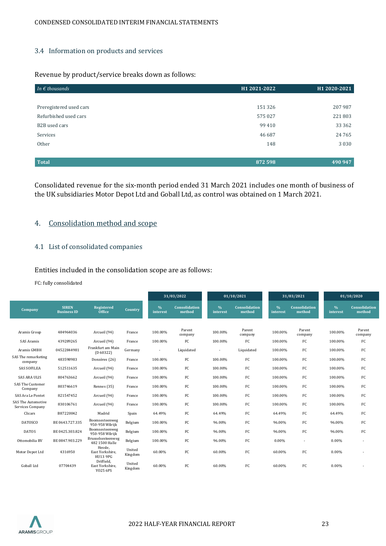#### 3.4 Information on products and services

#### Revenue by product/service breaks down as follows:

| In $\epsilon$ thousands | H1 2021-2022 | H1 2020-2021 |
|-------------------------|--------------|--------------|
|                         |              |              |
| Preregistered used cars | 151 326      | 207 987      |
| Refurbished used cars   | 575 027      | 221803       |
| B2B used cars           | 99 410       | 33 362       |
| Services                | 46 687       | 24765        |
| Other                   | 148          | 3 0 3 0      |
|                         |              |              |
| <b>Total</b>            | 872 598      | 490 947      |

Consolidated revenue for the six-month period ended 31 March 2021 includes one month of business of the UK subsidiaries Motor Depot Ltd and Goball Ltd, as control was obtained on 1 March 2021.

# <span id="page-22-0"></span>4. Consolidation method and scope

#### 4.1 List of consolidated companies

Entities included in the consolidation scope are as follows:

FC: fully consolidated

|                                               |                                    |                                               |                   |                           | 31/03/2022              |                  | 01/10/2021                     |                           | 31/03/2021                     |               | 01/10/2020              |
|-----------------------------------------------|------------------------------------|-----------------------------------------------|-------------------|---------------------------|-------------------------|------------------|--------------------------------|---------------------------|--------------------------------|---------------|-------------------------|
| Company                                       | <b>SIREN</b><br><b>Business ID</b> | <b>Registered</b><br>Office                   | Country           | $\frac{0}{6}$<br>interest | Consolidation<br>method | $\%$<br>interest | <b>Consolidation</b><br>method | $\frac{0}{6}$<br>interest | <b>Consolidation</b><br>method | %<br>interest | Consolidation<br>method |
|                                               |                                    |                                               |                   |                           |                         |                  |                                |                           |                                |               |                         |
| Aramis Group                                  | 484964036                          | Arcueil (94)                                  | France            | 100.00%                   | Parent<br>company       | 100.00%          | Parent<br>company              | 100.00%                   | Parent<br>company              | 100.00%       | Parent<br>company       |
| SAS Aramis                                    | 439289265                          | Arcueil (94)                                  | France            | 100.00%                   | FC                      | 100.00%          | FC                             | 100.00%                   | FC                             | 100.00%       | FC                      |
| Aramis GMBH                                   | 04522844981                        | Frankfurt am Main<br>(D 60322)                | Germany           | $\overline{\phantom{a}}$  | Liquidated              | ٠                | Liquidated                     | 100.00%                   | FC                             | 100.00%       | FC                      |
| SAS The remarketing<br>company                | 483598983                          | Donzères (26)                                 | France            | 100.00%                   | $_{\rm FC}$             | 100.00%          | FC                             | 100.00%                   | FC                             | 100.00%       | FC                      |
| <b>SAS SOFILEA</b>                            | 512511635                          | Arcueil (94)                                  | France            | 100.00%                   | FC                      | 100.00%          | FC                             | 100.00%                   | FC                             | 100.00%       | FC                      |
| <b>SAS ARA ULIS</b>                           | 804763662                          | Arcueil (94)                                  | France            | 100.00%                   | FC                      | 100.00%          | FC                             | 100.00%                   | FC                             | 100.00%       | FC                      |
| SAS The Customer<br>Company                   | 803746619                          | Rennes (35)                                   | France            | 100.00%                   | FC                      | 100.00%          | FC                             | 100.00%                   | FC                             | 100.00%       | FC                      |
| SAS Ara Le Pontet                             | 821547452                          | Arcueil (94)                                  | France            | 100.00%                   | FC                      | 100.00%          | FC                             | 100.00%                   | FC                             | 100.00%       | FC                      |
| <b>SAS The Automotive</b><br>Services Company | 830106761                          | Arcueil (94)                                  | France            | 100.00%                   | $_{\rm FC}$             | 100.00%          | FC                             | 100.00%                   | FC                             | 100.00%       | FC                      |
| Clicars                                       | B87220042                          | Madrid                                        | Spain             | 64.49%                    | $_{\rm FC}$             | 64.49%           | FC                             | 64.49%                    | FC                             | 64.49%        | FC                      |
| <b>DATOSCO</b>                                | BE 0643.727.335                    | Boomsesteenweg<br>950-958 Wilrijk             | Belgium           | 100.00%                   | $_{\rm FC}$             | 96.00%           | FC                             | 96.00%                    | FC                             | 96.00%        | FC                      |
| <b>DATOS</b>                                  | BE 0425.303.824                    | Boomsesteenweg<br>950-958 Wilrijk             | Belgium           | 100.00%                   | FC                      | 96.00%           | FC                             | 96.00%                    | FC                             | 96.00%        | FC                      |
| Ottomobilia BV                                | BE 0847.903.229                    | Brusselsesteenweg<br>482 1500 Halle           | Belgium           | 100.00%                   | $_{\rm FC}$             | 96.00%           | FC                             | 0.00%                     | $\sim$                         | 0.00%         |                         |
| Motor Depot Ltd                               | 4316950                            | Hessle.<br>East Yorkshire,<br><b>HU13 9PG</b> | United<br>Kingdom | 60.00%                    | FC                      | 60.00%           | FC                             | 60.00%                    | FC                             | 0.00%         |                         |
| Goball Ltd                                    | 07704439                           | Driffield,<br>East Yorkshire,<br>Y025 6PS     | United<br>Kingdom | 60.00%                    | FC                      | 60.00%           | FC                             | 60.00%                    | FC                             | $0.00\%$      |                         |

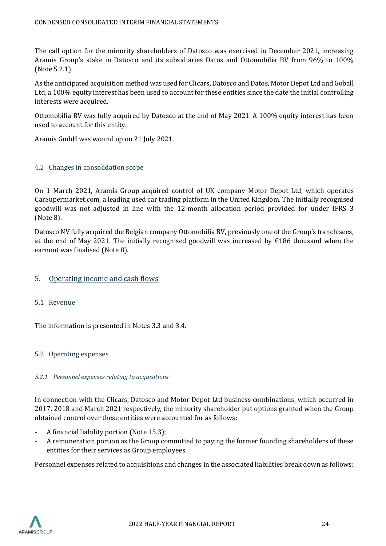The call option for the minority shareholders of Datosco was exercised in December 2021, increasing Aramis Group's stake in Datosco and its subsidiaries Datos and Ottomobilia BV from 96% to 100% (Note 5.2.1).

As the anticipated acquisition method was used for Clicars, Datosco and Datos, Motor Depot Ltd and Goball Ltd, a 100% equity interest has been used to account for these entities since the date the initial controlling interests were acquired.

Ottomobilia BV was fully acquired by Datosco at the end of May 2021. A 100% equity interest has been used to account for this entity.

Aramis GmbH was wound up on 21 July 2021.

#### 4.2 Changes in consolidation scope

On 1 March 2021, Aramis Group acquired control of UK company Motor Depot Ltd, which operates CarSupermarket.com, a leading used car trading platform in the United Kingdom. The initially recognised goodwill was not adjusted in line with the 12-month allocation period provided for under IFRS 3 (Note 8).

Datosco NV fully acquired the Belgian company Ottomobilia BV, previously one of the Group's franchisees, at the end of May 2021. The initially recognised goodwill was increased by €186 thousand when the earnout was finalised (Note 8).

#### <span id="page-23-0"></span>5. Operating income and cash flows

#### 5.1 Revenue

The information is presented in Notes 3.3 and 3.4.

#### 5.2 Operating expenses

#### *5.2.1 Personnel expenses relating to acquisitions*

In connection with the Clicars, Datosco and Motor Depot Ltd business combinations, which occurred in 2017, 2018 and March 2021 respectively, the minority shareholder put options granted when the Group obtained control over these entities were accounted for as follows:

- A financial liability portion (Note 15.3);
- A remuneration portion as the Group committed to paying the former founding shareholders of these entities for their services as Group employees.

Personnel expenses related to acquisitions and changes in the associated liabilities break down as follows:

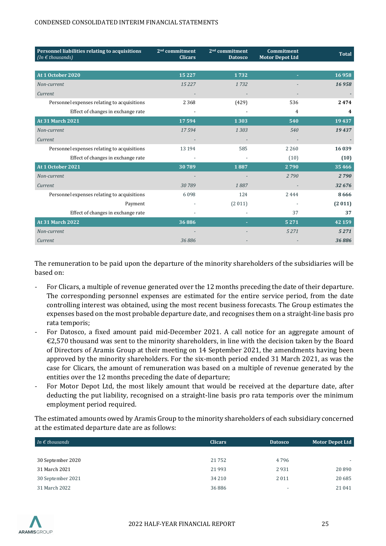| Personnel liabilities relating to acquisitions<br>(In $\epsilon$ thousands) | 2 <sup>nd</sup> commitment<br><b>Clicars</b> | 2 <sup>nd</sup> commitment<br><b>Datosco</b> | Commitment<br><b>Motor Depot Ltd</b> | <b>Total</b> |
|-----------------------------------------------------------------------------|----------------------------------------------|----------------------------------------------|--------------------------------------|--------------|
|                                                                             |                                              |                                              |                                      |              |
| At 1 October 2020                                                           | 15 2 27                                      | 1732                                         |                                      | 16958        |
| Non-current                                                                 | 15227                                        | 1732                                         |                                      | 16958        |
| Current                                                                     |                                              |                                              |                                      |              |
| Personnel expenses relating to acquisitions                                 | 2 3 6 8                                      | (429)                                        | 536                                  | 2474         |
| Effect of changes in exchange rate                                          |                                              |                                              | 4                                    | 4            |
| <b>At 31 March 2021</b>                                                     | 17594                                        | 1303                                         | 540                                  | 19437        |
| Non-current                                                                 | 17594                                        | 1303                                         | 540                                  | 19437        |
| Current                                                                     |                                              |                                              |                                      |              |
| Personnel expenses relating to acquisitions                                 | 13 194                                       | 585                                          | 2 2 6 0                              | 16039        |
| Effect of changes in exchange rate                                          |                                              |                                              | (10)                                 | (10)         |
| At 1 October 2021                                                           | 30789                                        | 1887                                         | 2790                                 | 35466        |
| Non-current                                                                 |                                              |                                              | 2790                                 | 2790         |
| Current                                                                     | 30789                                        | 1887                                         |                                      | 32 676       |
| Personnel expenses relating to acquisitions                                 | 6098                                         | 124                                          | 2444                                 | 8666         |
| Payment                                                                     |                                              | (2011)                                       |                                      | (2011)       |
| Effect of changes in exchange rate                                          | $\overline{\phantom{0}}$                     |                                              | 37                                   | 37           |
| <b>At 31 March 2022</b>                                                     | 36886                                        |                                              | 5271                                 | 42 159       |
| Non-current                                                                 |                                              |                                              | 5271                                 | 5271         |
| Current                                                                     | 36886                                        |                                              |                                      | 36886        |

The remuneration to be paid upon the departure of the minority shareholders of the subsidiaries will be based on:

- For Clicars, a multiple of revenue generated over the 12 months preceding the date of their departure. The corresponding personnel expenses are estimated for the entire service period, from the date controlling interest was obtained, using the most recent business forecasts. The Group estimates the expenses based on the most probable departure date, and recognises them on a straight-line basis pro rata temporis;
- For Datosco, a fixed amount paid mid-December 2021. A call notice for an aggregate amount of €2,570 thousand was sent to the minority shareholders, in line with the decision taken by the Board of Directors of Aramis Group at their meeting on 14 September 2021, the amendments having been approved by the minority shareholders. For the six-month period ended 31 March 2021, as was the case for Clicars, the amount of remuneration was based on a multiple of revenue generated by the entities over the 12 months preceding the date of departure;
- For Motor Depot Ltd, the most likely amount that would be received at the departure date, after deducting the put liability, recognised on a straight-line basis pro rata temporis over the minimum employment period required.

The estimated amounts owed by Aramis Group to the minority shareholders of each subsidiary concerned at the estimated departure date are as follows:

| In $\epsilon$ thousands | <b>Clicars</b> | <b>Datosco</b>           | Motor Depot Ltd          |
|-------------------------|----------------|--------------------------|--------------------------|
|                         |                |                          |                          |
| 30 September 2020       | 21752          | 4796                     | $\overline{\phantom{a}}$ |
| 31 March 2021           | 21 9 93        | 2931                     | 20890                    |
| 30 September 2021       | 34 210         | 2011                     | 20 685                   |
| 31 March 2022           | 36886          | $\overline{\phantom{a}}$ | 21 041                   |

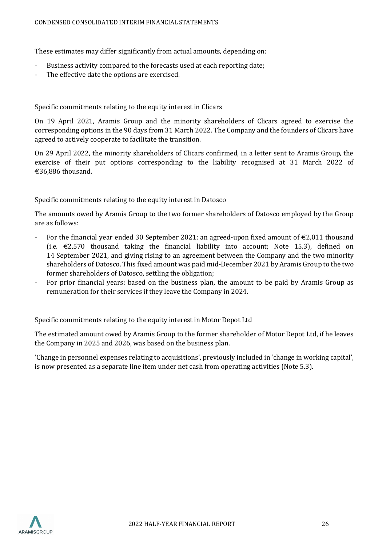These estimates may differ significantly from actual amounts, depending on:

- Business activity compared to the forecasts used at each reporting date;
- The effective date the options are exercised.

#### Specific commitments relating to the equity interest in Clicars

On 19 April 2021, Aramis Group and the minority shareholders of Clicars agreed to exercise the corresponding options in the 90 days from 31 March 2022. The Company and the founders of Clicars have agreed to actively cooperate to facilitate the transition.

On 29 April 2022, the minority shareholders of Clicars confirmed, in a letter sent to Aramis Group, the exercise of their put options corresponding to the liability recognised at 31 March 2022 of €36,886 thousand.

#### Specific commitments relating to the equity interest in Datosco

The amounts owed by Aramis Group to the two former shareholders of Datosco employed by the Group are as follows:

- For the financial year ended 30 September 2021: an agreed-upon fixed amount of  $\epsilon$ 2,011 thousand (i.e.  $\epsilon$ 2,570 thousand taking the financial liability into account; Note 15.3), defined on 14 September 2021, and giving rising to an agreement between the Company and the two minority shareholders of Datosco. This fixed amount was paid mid-December 2021 by Aramis Group to the two former shareholders of Datosco, settling the obligation;
- For prior financial years: based on the business plan, the amount to be paid by Aramis Group as remuneration for their services if they leave the Company in 2024.

#### Specific commitments relating to the equity interest in Motor Depot Ltd

The estimated amount owed by Aramis Group to the former shareholder of Motor Depot Ltd, if he leaves the Company in 2025 and 2026, was based on the business plan.

'Change in personnel expenses relating to acquisitions', previously included in 'change in working capital', is now presented as a separate line item under net cash from operating activities (Note 5.3).

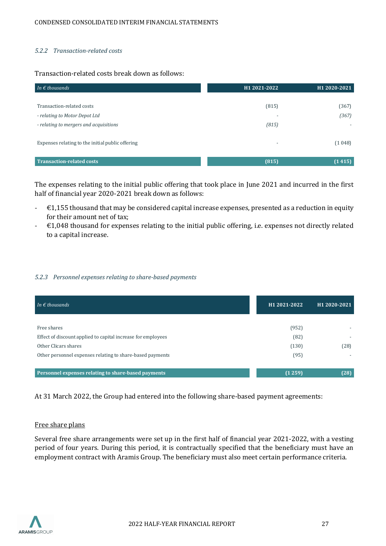#### *5.2.2 Transaction-related costs*

#### Transaction-related costs break down as follows:

| In $\epsilon$ thousands                          | H1 2021-2022             | H1 2020-2021 |
|--------------------------------------------------|--------------------------|--------------|
|                                                  |                          |              |
| Transaction-related costs                        | (815)                    | (367)        |
| - relating to Motor Depot Ltd                    |                          | (367)        |
| - relating to mergers and acquisitions           | (815)                    |              |
|                                                  |                          |              |
| Expenses relating to the initial public offering | $\overline{\phantom{a}}$ | (1048)       |
|                                                  |                          |              |
| <b>Transaction-related costs</b>                 | (815)                    | (1415)       |

The expenses relating to the initial public offering that took place in June 2021 and incurred in the first half of financial year 2020-2021 break down as follows:

- $\epsilon$   $\epsilon$ 1,155 thousand that may be considered capital increase expenses, presented as a reduction in equity for their amount net of tax;
- $\epsilon$   $\epsilon$ 1,048 thousand for expenses relating to the initial public offering, i.e. expenses not directly related to a capital increase.

#### *5.2.3 Personnel expenses relating to share-based payments*

| In $\epsilon$ thousands                                      | H <sub>1</sub> 2021-2022 | H <sub>1</sub> 2020-2021 |
|--------------------------------------------------------------|--------------------------|--------------------------|
|                                                              |                          |                          |
| Free shares                                                  | (952)                    |                          |
| Effect of discount applied to capital increase for employees | (82)                     |                          |
| Other Clicars shares                                         | (130)                    | (28)                     |
| Other personnel expenses relating to share-based payments    | (95)                     |                          |
|                                                              |                          |                          |
| Personnel expenses relating to share-based payments          | (1259)                   | (28)                     |

At 31 March 2022, the Group had entered into the following share-based payment agreements:

#### Free share plans

Several free share arrangements were set up in the first half of financial year 2021-2022, with a vesting period of four years. During this period, it is contractually specified that the beneficiary must have an employment contract with Aramis Group. The beneficiary must also meet certain performance criteria.

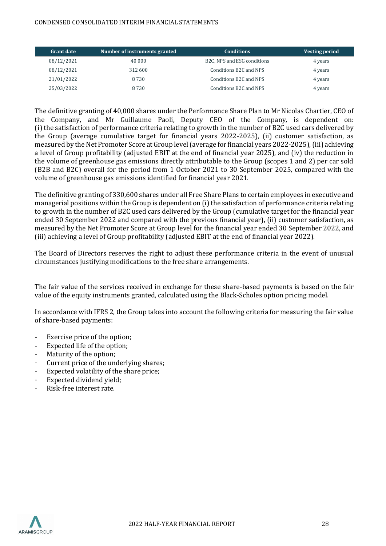| <b>Grant date</b> | Number of instruments granted | <b>Conditions</b>                        | <b>Vesting period</b> |
|-------------------|-------------------------------|------------------------------------------|-----------------------|
| 08/12/2021        | 40 000                        | B <sub>2</sub> C, NPS and ESG conditions | 4 years               |
| 08/12/2021        | 312 600                       | Conditions B2C and NPS                   | 4 years               |
| 21/01/2022        | 8 7 3 0                       | Conditions B2C and NPS                   | 4 years               |
| 25/03/2022        | 8 7 3 0                       | Conditions B2C and NPS                   | 4 years               |

The definitive granting of 40,000 shares under the Performance Share Plan to Mr Nicolas Chartier, CEO of the Company, and Mr Guillaume Paoli, Deputy CEO of the Company, is dependent on: (i) the satisfaction of performance criteria relating to growth in the number of B2C used cars delivered by the Group (average cumulative target for financial years 2022-2025), (ii) customer satisfaction, as measured by the Net Promoter Score at Group level (average for financial years 2022-2025), (iii) achieving a level of Group profitability (adjusted EBIT at the end of financial year 2025), and (iv) the reduction in the volume of greenhouse gas emissions directly attributable to the Group (scopes 1 and 2) per car sold (B2B and B2C) overall for the period from 1 October 2021 to 30 September 2025, compared with the volume of greenhouse gas emissions identified for financial year 2021.

The definitive granting of 330,600 shares under all Free Share Plans to certain employees in executive and managerial positions within the Group is dependent on (i) the satisfaction of performance criteria relating to growth in the number of B2C used cars delivered by the Group (cumulative target for the financial year ended 30 September 2022 and compared with the previous financial year), (ii) customer satisfaction, as measured by the Net Promoter Score at Group level for the financial year ended 30 September 2022, and (iii) achieving a level of Group profitability (adjusted EBIT at the end of financial year 2022).

The Board of Directors reserves the right to adjust these performance criteria in the event of unusual circumstances justifying modifications to the free share arrangements.

The fair value of the services received in exchange for these share-based payments is based on the fair value of the equity instruments granted, calculated using the Black-Scholes option pricing model.

In accordance with IFRS 2, the Group takes into account the following criteria for measuring the fair value of share-based payments:

- Exercise price of the option;
- Expected life of the option;
- Maturity of the option;
- Current price of the underlying shares;
- Expected volatility of the share price;
- Expected dividend vield:
- Risk-free interest rate.

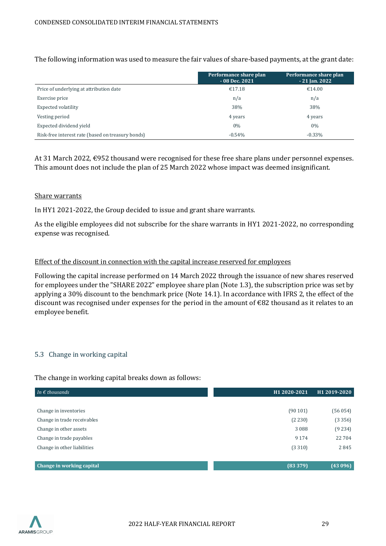The following information was used to measure the fair values of share-based payments, at the grant date:

|                                                   | Performance share plan<br>$-08$ Dec. 2021 | Performance share plan<br>$-21$ Jan. 2022 |
|---------------------------------------------------|-------------------------------------------|-------------------------------------------|
| Price of underlying at attribution date           | €17.18                                    | €14.00                                    |
| Exercise price                                    | n/a                                       | n/a                                       |
| <b>Expected volatility</b>                        | 38%                                       | 38%                                       |
| Vesting period                                    | 4 years                                   | 4 years                                   |
| Expected dividend yield                           | $0\%$                                     | $0\%$                                     |
| Risk-free interest rate (based on treasury bonds) | $-0.54%$                                  | $-0.33\%$                                 |

At 31 March 2022, €952 thousand were recognised for these free share plans under personnel expenses. This amount does not include the plan of 25 March 2022 whose impact was deemed insignificant.

#### Share warrants

In HY1 2021-2022, the Group decided to issue and grant share warrants.

As the eligible employees did not subscribe for the share warrants in HY1 2021-2022, no corresponding expense was recognised.

#### Effect of the discount in connection with the capital increase reserved for employees

Following the capital increase performed on 14 March 2022 through the issuance of new shares reserved for employees under the "SHARE 2022" employee share plan (Note 1.3), the subscription price was set by applying a 30% discount to the benchmark price (Note 14.1). In accordance with IFRS 2, the effect of the discount was recognised under expenses for the period in the amount of €82 thousand as it relates to an employee benefit.

#### 5.3 Change in working capital

#### The change in working capital breaks down as follows:

| In $\epsilon$ thousands     | H1 2020-2021 | H1 2019-2020 |
|-----------------------------|--------------|--------------|
|                             |              |              |
| Change in inventories       | (90101)      | (56054)      |
| Change in trade receivables | (2 230)      | (3356)       |
| Change in other assets      | 3088         | (9234)       |
| Change in trade payables    | 9 1 7 4      | 22 704       |
| Change in other liabilities | (3310)       | 2845         |
|                             |              |              |
| Change in working capital   | (83379)      | (43096)      |

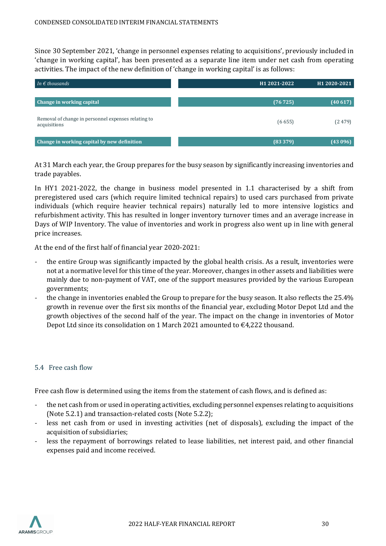Since 30 September 2021, 'change in personnel expenses relating to acquisitions', previously included in 'change in working capital', has been presented as a separate line item under net cash from operating activities. The impact of the new definition of 'change in working capital' is as follows:

| In $\epsilon$ thousands                                             | H <sub>1</sub> 2021-2022 | H1 2020-2021 |
|---------------------------------------------------------------------|--------------------------|--------------|
|                                                                     |                          |              |
| Change in working capital                                           | (76725)                  | (40617)      |
| Removal of change in personnel expenses relating to<br>acquisitions | (6655)                   | (2479)       |
| Change in working capital by new definition                         | (83379)                  | (43096)      |

At 31 March each year, the Group prepares for the busy season by significantly increasing inventories and trade payables.

In HY1 2021-2022, the change in business model presented in 1.1 characterised by a shift from preregistered used cars (which require limited technical repairs) to used cars purchased from private individuals (which require heavier technical repairs) naturally led to more intensive logistics and refurbishment activity. This has resulted in longer inventory turnover times and an average increase in Days of WIP Inventory. The value of inventories and work in progress also went up in line with general price increases.

At the end of the first half of financial year 2020-2021:

- the entire Group was significantly impacted by the global health crisis. As a result, inventories were not at a normative level for this time of the year. Moreover, changes in other assets and liabilities were mainly due to non-payment of VAT, one of the support measures provided by the various European governments;
- the change in inventories enabled the Group to prepare for the busy season. It also reflects the 25.4% growth in revenue over the first six months of the financial year, excluding Motor Depot Ltd and the growth objectives of the second half of the year. The impact on the change in inventories of Motor Depot Ltd since its consolidation on 1 March 2021 amounted to €4,222 thousand.

#### 5.4 Free cash flow

Free cash flow is determined using the items from the statement of cash flows, and is defined as:

- the net cash from or used in operating activities, excluding personnel expenses relating to acquisitions (Note 5.2.1) and transaction-related costs (Note 5.2.2);
- less net cash from or used in investing activities (net of disposals), excluding the impact of the acquisition of subsidiaries;
- less the repayment of borrowings related to lease liabilities, net interest paid, and other financial expenses paid and income received.

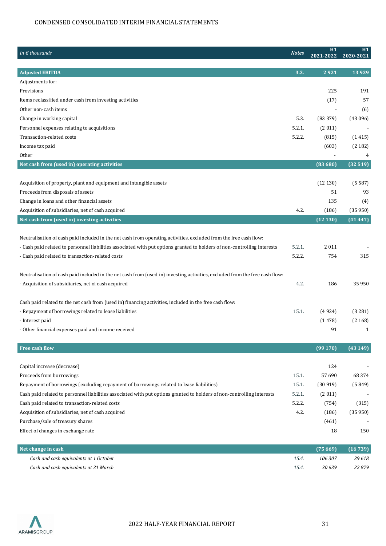| In $\epsilon$ thousands                                                                                                                                                                                                                       | <b>Notes</b> | H1<br>2021-2022 | H1<br>2020-2021  |
|-----------------------------------------------------------------------------------------------------------------------------------------------------------------------------------------------------------------------------------------------|--------------|-----------------|------------------|
| <b>Adjusted EBITDA</b>                                                                                                                                                                                                                        | 3.2.         | 2921            | 13 9 29          |
| Adjustments for:                                                                                                                                                                                                                              |              |                 |                  |
| Provisions                                                                                                                                                                                                                                    |              | 225             | 191              |
| Items reclassified under cash from investing activities                                                                                                                                                                                       |              | (17)            | 57               |
| Other non-cash items                                                                                                                                                                                                                          |              |                 | (6)              |
| Change in working capital                                                                                                                                                                                                                     | 5.3.         | (83379)         | (43096)          |
| Personnel expenses relating to acquisitions                                                                                                                                                                                                   | 5.2.1.       | (2011)          |                  |
| Transaction-related costs                                                                                                                                                                                                                     | 5.2.2.       | (815)           | (1415)           |
| Income tax paid                                                                                                                                                                                                                               |              | (603)           | (2182)           |
| Other                                                                                                                                                                                                                                         |              |                 | 4                |
| Net cash from (used in) operating activities                                                                                                                                                                                                  |              | (83680)         | (32519)          |
| Acquisition of property, plant and equipment and intangible assets                                                                                                                                                                            |              | (12130)         | (5587)           |
| Proceeds from disposals of assets                                                                                                                                                                                                             |              | 51              | 93               |
| Change in loans and other financial assets                                                                                                                                                                                                    |              | 135             | (4)              |
| Acquisition of subsidiaries, net of cash acquired                                                                                                                                                                                             | 4.2.         | (186)           | (35950)          |
| Net cash from (used in) investing activities                                                                                                                                                                                                  |              | (12130)         | (41447)          |
| Neutralisation of cash paid included in the net cash from operating activities, excluded from the free cash flow:<br>- Cash paid related to personnel liabilities associated with put options granted to holders of non-controlling interests | 5.2.1.       | 2011            |                  |
| - Cash paid related to transaction-related costs                                                                                                                                                                                              | 5.2.2.       | 754             | 315              |
| Neutralisation of cash paid included in the net cash from (used in) investing activities, excluded from the free cash flow:<br>- Acquisition of subsidiaries, net of cash acquired                                                            | 4.2.         | 186             | 35 950           |
| Cash paid related to the net cash from (used in) financing activities, included in the free cash flow:                                                                                                                                        |              |                 |                  |
| - Repayment of borrowings related to lease liabilities                                                                                                                                                                                        | 15.1.        | (4924)          | (3 281)          |
| - Interest paid                                                                                                                                                                                                                               |              | (1478)          | (2168)           |
| - Other financial expenses paid and income received                                                                                                                                                                                           |              | 91              | $\mathbf{1}$     |
| Free cash flow                                                                                                                                                                                                                                |              | (99170)         | (43149)          |
| Capital increase (decrease)                                                                                                                                                                                                                   |              |                 |                  |
|                                                                                                                                                                                                                                               | 15.1.        | 124<br>57 690   | 68 3 7 4         |
| Proceeds from borrowings                                                                                                                                                                                                                      | 15.1.        | (30919)         |                  |
| Repayment of borrowings (excluding repayment of borrowings related to lease liabilities)                                                                                                                                                      | 5.2.1.       |                 | (5849)           |
| Cash paid related to personnel liabilities associated with put options granted to holders of non-controlling interests                                                                                                                        | 5.2.2.       | (2011)          |                  |
| Cash paid related to transaction-related costs<br>Acquisition of subsidiaries, net of cash acquired                                                                                                                                           | 4.2.         | (754)<br>(186)  | (315)<br>(35950) |
| Purchase/sale of treasury shares                                                                                                                                                                                                              |              | (461)           |                  |
| Effect of changes in exchange rate                                                                                                                                                                                                            |              | 18              | 150              |

| Net change in cash                     |       | $(75669)$ $(16739)$ |        |
|----------------------------------------|-------|---------------------|--------|
| Cash and cash equivalents at 1 October | 15.4. | 106.307             | 39 618 |
| Cash and cash equivalents at 31 March  | 15.4. | 30639               | 22 879 |

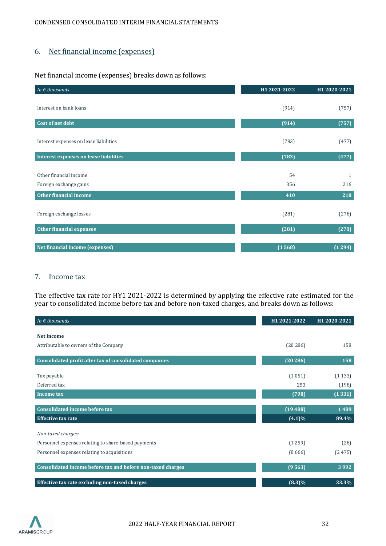# <span id="page-31-0"></span>6. Net financial income (expenses)

Net financial income (expenses) breaks down as follows:

| In $\epsilon$ thousands                | H1 2021-2022 | H1 2020-2021 |
|----------------------------------------|--------------|--------------|
|                                        |              |              |
| Interest on bank loans                 | (914)        | (757)        |
|                                        |              |              |
| Cost of net debt                       | (914)        | (757)        |
|                                        |              |              |
| Interest expenses on lease liabilities | (783)        | (477)        |
| Interest expenses on lease liabilities | (783)        | (477)        |
|                                        |              |              |
| Other financial income                 | 54           | $\mathbf{1}$ |
| Foreign exchange gains                 | 356          | 216          |
| <b>Other financial income</b>          | 410          | 218          |
|                                        |              |              |
| Foreign exchange losses                | (281)        | (278)        |
|                                        |              |              |
| <b>Other financial expenses</b>        | (281)        | (278)        |
|                                        |              |              |
| Net financial income (expenses)        | (1568)       | (1294)       |

# <span id="page-31-1"></span>7. Income tax

The effective tax rate for HY1 2021-2022 is determined by applying the effective rate estimated for the year to consolidated income before tax and before non-taxed charges, and breaks down as follows:

| In $\epsilon$ thousands                                     | H1 2021-2022 | H1 2020-2021 |
|-------------------------------------------------------------|--------------|--------------|
| Net income                                                  |              |              |
|                                                             |              |              |
| Attributable to owners of the Company                       | (20286)      | 158          |
| Consolidated profit after tax of consolidated companies     | (20286)      | 158          |
|                                                             |              |              |
| Tax payable                                                 | (1051)       | (1133)       |
| Deferred tax                                                | 253          | (198)        |
| <b>Income tax</b>                                           | (798)        | (1331)       |
|                                                             |              |              |
| <b>Consolidated income before tax</b>                       | (19488)      | 1489         |
| <b>Effective tax rate</b>                                   | $(4.1)\%$    | 89.4%        |
|                                                             |              |              |
| Non-taxed charges:                                          |              |              |
| Personnel expenses relating to share-based payments         | (1259)       | (28)         |
| Personnel expenses relating to acquisitions                 | (8666)       | (2475)       |
|                                                             |              |              |
| Consolidated income before tax and before non-taxed charges | (9563)       | 3992         |
| Effective tax rate excluding non-taxed charges              | $(8.3)\%$    | 33.3%        |

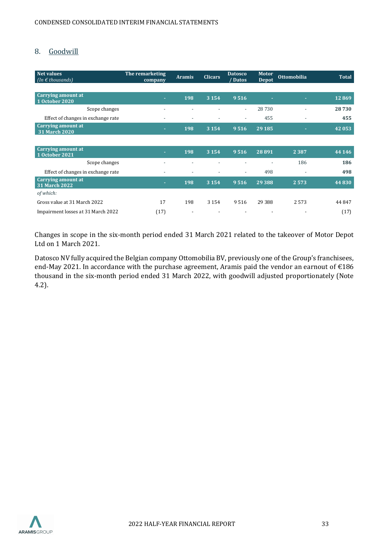# <span id="page-32-0"></span>8. Goodwill

| <b>Net values</b><br>(In $\epsilon$ thousands) | The remarketing<br>company | <b>Aramis</b>            | <b>Clicars</b>           | <b>Datosco</b><br>Datos  | <b>Motor</b><br><b>Depot</b> | <b>Ottomobilia</b>       | <b>Total</b> |
|------------------------------------------------|----------------------------|--------------------------|--------------------------|--------------------------|------------------------------|--------------------------|--------------|
|                                                |                            |                          |                          |                          |                              |                          |              |
| <b>Carrying amount at</b><br>1 October 2020    | $\sim$                     | 198                      | 3 1 5 4                  | 9516                     | н                            | ٠                        | 12869        |
| Scope changes                                  |                            | $\overline{a}$           | $\overline{\phantom{a}}$ | $\overline{\phantom{a}}$ | 28730                        | $\overline{a}$           | 28730        |
| Effect of changes in exchange rate             | $\overline{\phantom{a}}$   | $\overline{\phantom{a}}$ | $\overline{\phantom{a}}$ | $\overline{\phantom{a}}$ | 455                          | $\overline{\phantom{a}}$ | 455          |
| <b>Carrying amount at</b><br>31 March 2020     | ٠                          | 198                      | 3 1 5 4                  | 9516                     | 29 1 85                      |                          | 42053        |
|                                                |                            |                          |                          |                          |                              |                          |              |
| <b>Carrying amount at</b><br>1 October 2021    | ٠                          | 198                      | 3 1 5 4                  | 9516                     | 28 891                       | 2 3 8 7                  | 44 14 6      |
| Scope changes                                  | $\overline{\phantom{a}}$   | $\overline{\phantom{a}}$ | $\overline{a}$           |                          | $\overline{\phantom{0}}$     | 186                      | 186          |
| Effect of changes in exchange rate             | $\overline{\phantom{a}}$   |                          | $\overline{\phantom{a}}$ | $\overline{\phantom{a}}$ | 498                          | $\overline{\phantom{a}}$ | 498          |
| Carrying amount at<br>31 March 2022            | ×                          | 198                      | 3 1 5 4                  | 9516                     | 29 3 8 8                     | 2573                     | 44 830       |
| of which:                                      |                            |                          |                          |                          |                              |                          |              |
| Gross value at 31 March 2022                   | 17                         | 198                      | 3 1 5 4                  | 9516                     | 29 388                       | 2573                     | 44 847       |
| Impairment losses at 31 March 2022             | (17)                       | $\overline{\phantom{a}}$ |                          |                          | $\overline{\phantom{a}}$     | $\overline{\phantom{0}}$ | (17)         |

Changes in scope in the six-month period ended 31 March 2021 related to the takeover of Motor Depot Ltd on 1 March 2021.

Datosco NV fully acquired the Belgian company Ottomobilia BV, previously one of the Group's franchisees, end-May 2021. In accordance with the purchase agreement, Aramis paid the vendor an earnout of €186 thousand in the six-month period ended 31 March 2022, with goodwill adjusted proportionately (Note 4.2).

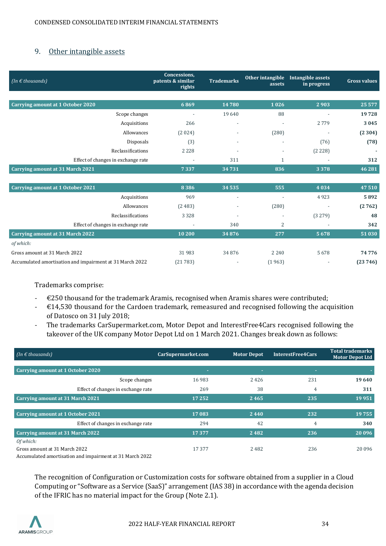# <span id="page-33-0"></span>9. Other intangible assets

| (In $\epsilon$ thousands)                                | Concessions,<br>patents & similar<br>rights | <b>Trademarks</b>        | Other intangible<br>assets | Intangible assets<br>in progress | <b>Gross values</b> |
|----------------------------------------------------------|---------------------------------------------|--------------------------|----------------------------|----------------------------------|---------------------|
|                                                          |                                             |                          |                            |                                  |                     |
| <b>Carrying amount at 1 October 2020</b>                 | 6869                                        | 14780                    | 1026                       | 2903                             | 25 577              |
| Scope changes                                            |                                             | 19640                    | 88                         |                                  | 19728               |
| Acquisitions                                             | 266                                         | $\overline{\phantom{a}}$ |                            | 2779                             | 3045                |
| Allowances                                               | (2024)                                      |                          | (280)                      | $\overline{\phantom{a}}$         | (2304)              |
| Disposals                                                | (3)                                         |                          |                            | (76)                             | (78)                |
| Reclassifications                                        | 2 2 2 8                                     |                          |                            | (2 228)                          |                     |
| Effect of changes in exchange rate                       | $\overline{\phantom{a}}$                    | 311                      | $\mathbf{1}$               | $\blacksquare$                   | 312                 |
| <b>Carrying amount at 31 March 2021</b>                  | 7337                                        | 34731                    | 836                        | 3378                             | 46 28 1             |
|                                                          |                                             |                          |                            |                                  |                     |
| <b>Carrying amount at 1 October 2021</b>                 | 8386                                        | 34 53 5                  | 555                        | 4034                             | 47510               |
| Acquisitions                                             | 969                                         | $\overline{\phantom{a}}$ | $\overline{\phantom{a}}$   | 4923                             | 5892                |
| Allowances                                               | (2483)                                      |                          | (280)                      |                                  | (2762)              |
| Reclassifications                                        | 3 3 2 8                                     |                          |                            | (3279)                           | 48                  |
| Effect of changes in exchange rate                       | ÷,                                          | 340                      | 2                          |                                  | 342                 |
| <b>Carrying amount at 31 March 2022</b>                  | 10 200                                      | 34876                    | 277                        | 5678                             | 51 030              |
| of which:                                                |                                             |                          |                            |                                  |                     |
| Gross amount at 31 March 2022                            | 31 983                                      | 34876                    | 2 2 4 0                    | 5678                             | 74776               |
| Accumulated amortisation and impairment at 31 March 2022 | (21783)                                     |                          | (1963)                     |                                  | (23746)             |

Trademarks comprise:

- $\epsilon$ 250 thousand for the trademark Aramis, recognised when Aramis shares were contributed;
- $\div$   $\in$  14,530 thousand for the Cardoen trademark, remeasured and recognised following the acquisition of Datosco on 31 July 2018;
- The trademarks CarSupermarket.com, Motor Depot and InterestFree4Cars recognised following the takeover of the UK company Motor Depot Ltd on 1 March 2021. Changes break down as follows:

| (In $\epsilon$ thousands)                                                                                                                                                     | CarSupermarket.com | <b>Motor Depot</b> | <b>InterestFree4Cars</b> | <b>Total trademarks</b><br><b>Motor Depot Ltd</b> |
|-------------------------------------------------------------------------------------------------------------------------------------------------------------------------------|--------------------|--------------------|--------------------------|---------------------------------------------------|
|                                                                                                                                                                               |                    |                    |                          |                                                   |
| Carrying amount at 1 October 2020                                                                                                                                             | $\sim$             | ٠                  | ×                        |                                                   |
| Scope changes                                                                                                                                                                 | 16 983             | 2426               | 231                      | 19640                                             |
| Effect of changes in exchange rate                                                                                                                                            | 269                | 38                 | 4                        | 311                                               |
| Carrying amount at 31 March 2021                                                                                                                                              | 17 25 2            | 2465               | 235                      | 19951                                             |
|                                                                                                                                                                               |                    |                    |                          |                                                   |
| <b>Carrying amount at 1 October 2021</b>                                                                                                                                      | 17083              | 2440               | 232                      | 19755                                             |
| Effect of changes in exchange rate                                                                                                                                            | 294                | 42                 | 4                        | 340                                               |
| <b>Carrying amount at 31 March 2022</b>                                                                                                                                       | 17377              | 2482               | 236                      | 20 09 6                                           |
| Of which:                                                                                                                                                                     |                    |                    |                          |                                                   |
| Gross amount at 31 March 2022<br>$\overline{a}$ , and $\overline{a}$ , and $\overline{a}$ , and $\overline{a}$ , and $\overline{a}$ , and $\overline{a}$ , and $\overline{a}$ | 17377              | 2482               | 236                      | 20 09 6                                           |

Accumulated amortisation and impairment at 31 March 2022

The recognition of Configuration or Customization costs for software obtained from a supplier in a Cloud Computing or "Software as a Service (SaaS)" arrangement (IAS 38) in accordance with the agenda decision of the IFRIC has no material impact for the Group (Note 2.1).

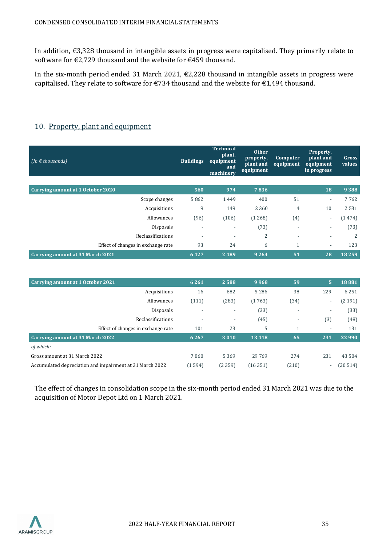In addition, €3,328 thousand in intangible assets in progress were capitalised. They primarily relate to software for €2,729 thousand and the website for €459 thousand.

In the six-month period ended 31 March 2021,  $\epsilon$ 2,228 thousand in intangible assets in progress were capitalised. They relate to software for €734 thousand and the website for €1,494 thousand.

| (In $\epsilon$ thousands)               | <b>Buildings</b>         | <b>Technical</b><br>plant,<br>equipment<br>and<br>machinery | <b>Other</b><br>property,<br>plant and<br>equipment | Computer<br>equipment    | Property,<br>plant and<br>equipment<br>in progress | Gross<br>values |
|-----------------------------------------|--------------------------|-------------------------------------------------------------|-----------------------------------------------------|--------------------------|----------------------------------------------------|-----------------|
|                                         |                          |                                                             |                                                     |                          |                                                    |                 |
| Carrying amount at 1 October 2020       | 560                      | 974                                                         | 7836                                                | ٠                        | 18                                                 | 9 3 8 8         |
| Scope changes                           | 5862                     | 1449                                                        | 400                                                 | 51                       | $\overline{\phantom{a}}$                           | 7762            |
| Acquisitions                            | 9                        | 149                                                         | 2 3 6 0                                             | 4                        | 10                                                 | 2531            |
| Allowances                              | (96)                     | (106)                                                       | (1268)                                              | (4)                      | $\overline{\phantom{a}}$                           | (1474)          |
| Disposals                               | $\overline{\phantom{a}}$ | $\overline{\phantom{a}}$                                    | (73)                                                | $\overline{\phantom{a}}$ | $\overline{\phantom{a}}$                           | (73)            |
| Reclassifications                       | $\overline{a}$           | $\overline{\phantom{a}}$                                    | $\overline{2}$                                      | $\overline{\phantom{a}}$ | $\overline{\phantom{a}}$                           | 2               |
| Effect of changes in exchange rate      | 93                       | 24                                                          | 6                                                   | 1                        | $\overline{\phantom{a}}$                           | 123             |
| <b>Carrying amount at 31 March 2021</b> | 6427                     | 2489                                                        | 9 2 6 4                                             | 51                       | 28                                                 | 18259           |

# <span id="page-34-0"></span>10. Property, plant and equipment

| Carrying amount at 1 October 2021                        | 6 2 6 1                  | 2588                     | 9968    | 59                           | 5                        | 18881    |
|----------------------------------------------------------|--------------------------|--------------------------|---------|------------------------------|--------------------------|----------|
| Acquisitions                                             | 16                       | 682                      | 5 2 8 6 | 38                           | 229                      | 6 2 5 1  |
| Allowances                                               | (111)                    | (283)                    | (1763)  | (34)                         | $\overline{\phantom{0}}$ | (2191)   |
| Disposals                                                |                          | $\overline{\phantom{a}}$ | (33)    | $\qquad \qquad \blacksquare$ | $\overline{\phantom{a}}$ | (33)     |
| Reclassifications                                        | $\overline{\phantom{a}}$ | $\overline{\phantom{a}}$ | (45)    | $\overline{\phantom{0}}$     | (3)                      | (48)     |
| Effect of changes in exchange rate                       | 101                      | 23                       | 5       |                              | $\overline{\phantom{a}}$ | 131      |
| Carrying amount at 31 March 2022                         | 6 2 6 7                  | 3010                     | 13418   | 65                           | 231                      | 22 9 9 0 |
| of which:                                                |                          |                          |         |                              |                          |          |
| Gross amount at 31 March 2022                            | 7860                     | 5 3 6 9                  | 29 7 69 | 274                          | 231                      | 43 504   |
| Accumulated depreciation and impairment at 31 March 2022 | (1594)                   | (2359)                   | (16351) | (210)                        | $\overline{\phantom{a}}$ | (20514)  |

The effect of changes in consolidation scope in the six-month period ended 31 March 2021 was due to the acquisition of Motor Depot Ltd on 1 March 2021.

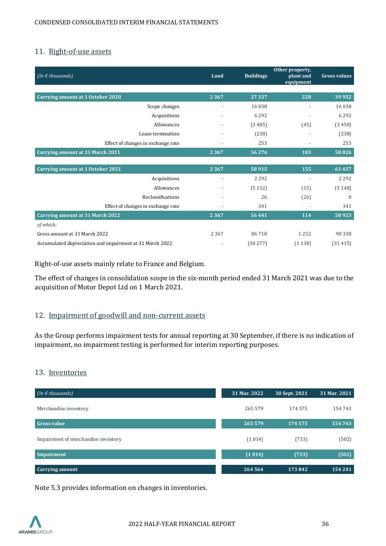### <span id="page-35-0"></span>11. Right-of-use assets

| (In $\epsilon$ thousands)                                | Land    | <b>Buildings</b> | Other property,<br>plant and<br>equipment | <b>Gross values</b> |
|----------------------------------------------------------|---------|------------------|-------------------------------------------|---------------------|
|                                                          |         |                  |                                           |                     |
| Carrying amount at 1 October 2020                        | 2 3 6 7 | 37 337           | 228                                       | 39932               |
| Scope changes                                            |         | 16 0 38          |                                           | 16 0 38             |
| Acquisitions                                             |         | 6292             |                                           | 6 2 9 2             |
| Allowances                                               |         | (3405)           | (45)                                      | (3450)              |
| Lease termination                                        |         | (238)            |                                           | (238)               |
| Effect of changes in exchange rate                       |         | 253              | $\overline{\phantom{a}}$                  | 253                 |
| <b>Carrying amount at 31 March 2021</b>                  | 2 3 6 7 | 56276            | 183                                       | 58826               |
|                                                          |         |                  |                                           |                     |
| <b>Carrying amount at 1 October 2021</b>                 | 2 3 6 7 | 58915            | 155                                       | 61437               |
| Acquisitions                                             |         | 2 2 9 2          |                                           | 2 2 9 2             |
| Allowances                                               |         | (5132)           | (15)                                      | (5148)              |
| Reclassifications                                        |         | 26               | (26)                                      | $\mathbf{0}$        |
| Effect of changes in exchange rate                       |         | 341              |                                           | 341                 |
| <b>Carrying amount at 31 March 2022</b>                  | 2 3 6 7 | 56441            | 114                                       | 58923               |
| of which:                                                |         |                  |                                           |                     |
| Gross amount at 31 March 2022                            | 2 3 6 7 | 86718            | 1 2 5 2                                   | 90 338              |
| Accumulated depreciation and impairment at 31 March 2022 |         | (30277)          | (1138)                                    | (31415)             |

Right-of-use assets mainly relate to France and Belgium.

The effect of changes in consolidation scope in the six-month period ended 31 March 2021 was due to the acquisition of Motor Depot Ltd on 1 March 2021.

# <span id="page-35-1"></span>12. Impairment of goodwill and non-current assets

As the Group performs impairment tests for annual reporting at 30 September, if there is no indication of impairment, no impairment testing is performed for interim reporting purposes.

#### <span id="page-35-2"></span>13. Inventories

| $(In \in thousands)$                | 31 Mar. 2022 | 30 Sept. 2021 | 31 Mar. 2021 |
|-------------------------------------|--------------|---------------|--------------|
| Merchandise inventory               | 265 579      | 174 575       | 154 743      |
| <b>Gross value</b>                  | 265 579      | 174 575       | 154743       |
| Impairment of merchandise inventory | (1014)       | (733)         | (502)        |
| Impairment                          | (1014)       | (733)         | (502)        |
|                                     |              |               |              |
| <b>Carrying amount</b>              | 264 564      | 173842        | 154 241      |

Note 5.3 provides information on changes in inventories.

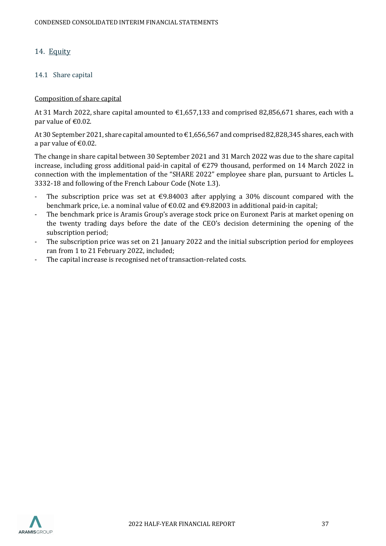### <span id="page-36-0"></span>14. Equity

#### 14.1 Share capital

#### Composition of share capital

At 31 March 2022, share capital amounted to €1,657,133 and comprised 82,856,671 shares, each with a par value of  $\text{\textsterling}0.02$ .

At 30 September 2021, share capital amounted to €1,656,567 and comprised 82,828,345 shares, each with a par value of  $\text{\textsterling}0.02$ .

The change in share capital between 30 September 2021 and 31 March 2022 was due to the share capital increase, including gross additional paid-in capital of €279 thousand, performed on 14 March 2022 in connection with the implementation of the "SHARE 2022" employee share plan, pursuant to Articles L. 3332-18 and following of the French Labour Code (Note 1.3).

- The subscription price was set at  $\epsilon$ 9.84003 after applying a 30% discount compared with the benchmark price, i.e. a nominal value of  $\epsilon$ 0.02 and  $\epsilon$ 9.82003 in additional paid-in capital;
- The benchmark price is Aramis Group's average stock price on Euronext Paris at market opening on the twenty trading days before the date of the CEO's decision determining the opening of the subscription period;
- The subscription price was set on 21 January 2022 and the initial subscription period for employees ran from 1 to 21 February 2022, included;
- The capital increase is recognised net of transaction-related costs.

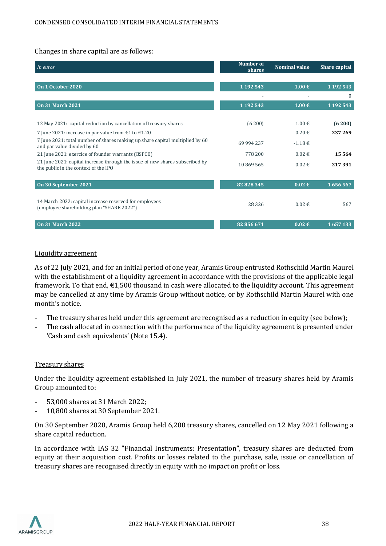#### Changes in share capital are as follows:

| In euros                                                                                                             | <b>Number of</b><br>shares | <b>Nominal value</b> | Share capital |
|----------------------------------------------------------------------------------------------------------------------|----------------------------|----------------------|---------------|
|                                                                                                                      |                            |                      |               |
| On 1 October 2020                                                                                                    | 1 192 543                  | $1.00 \notin$        | 1 192 543     |
|                                                                                                                      |                            |                      | $\Omega$      |
| <b>On 31 March 2021</b>                                                                                              | 1 1 9 2 5 4 3              | 1.00€                | 1 192 543     |
|                                                                                                                      |                            |                      |               |
| 12 May 2021: capital reduction by cancellation of treasury shares                                                    | (6 200)                    | $1.00 \in$           | (6 200)       |
| 7 June 2021: increase in par value from $\text{\textsterling}1$ to $\text{\textsterling}1.20$                        |                            | $0.20 \in$           | 237 269       |
| 7 June 2021: total number of shares making up share capital multiplied by 60<br>and par value divided by 60          | 69 994 237                 | $-1.18€$             |               |
| 21 June 2021: exercice of founder warrants (BSPCE)                                                                   | 778 200                    | $0.02 \in$           | 15564         |
| 21 June 2021: capital increase through the issue of new shares subscribed by<br>the public in the context of the IPO | 10869565                   | $0.02 \in$           | 217391        |
|                                                                                                                      |                            |                      |               |
| On 30 September 2021                                                                                                 | 82828345                   | $0.02 \in$           | 1656567       |
| 14 March 2022: capital increase reserved for employees<br>(employee shareholding plan "SHARE 2022")                  | 28 3 26                    | $0.02 \in$           | 567           |
| <b>On 31 March 2022</b>                                                                                              | 82 856 671                 | $0.02 \in$           | 1657133       |

#### Liquidity agreement

As of 22 July 2021, and for an initial period of one year, Aramis Group entrusted Rothschild Martin Maurel with the establishment of a liquidity agreement in accordance with the provisions of the applicable legal framework. To that end,  $\epsilon$ 1,500 thousand in cash were allocated to the liquidity account. This agreement may be cancelled at any time by Aramis Group without notice, or by Rothschild Martin Maurel with one month's notice.

- The treasury shares held under this agreement are recognised as a reduction in equity (see below);
- The cash allocated in connection with the performance of the liquidity agreement is presented under 'Cash and cash equivalents' (Note 15.4).

#### Treasury shares

Under the liquidity agreement established in July 2021, the number of treasury shares held by Aramis Group amounted to:

- 53,000 shares at 31 March 2022;
- 10,800 shares at 30 September 2021.

On 30 September 2020, Aramis Group held 6,200 treasury shares, cancelled on 12 May 2021 following a share capital reduction.

In accordance with IAS 32 "Financial Instruments: Presentation", treasury shares are deducted from equity at their acquisition cost. Profits or losses related to the purchase, sale, issue or cancellation of treasury shares are recognised directly in equity with no impact on profit or loss.

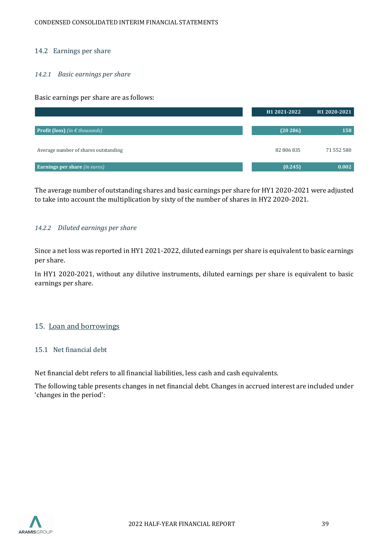#### 14.2 Earnings per share

#### *14.2.1 Basic earnings per share*

Basic earnings per share are as follows:



The average number of outstanding shares and basic earnings per share for HY1 2020-2021 were adjusted to take into account the multiplication by sixty of the number of shares in HY2 2020-2021.

#### *14.2.2 Diluted earnings per share*

Since a net loss was reported in HY1 2021-2022, diluted earnings per share is equivalent to basic earnings per share.

In HY1 2020-2021, without any dilutive instruments, diluted earnings per share is equivalent to basic earnings per share.

#### <span id="page-38-0"></span>15. Loan and borrowings

#### 15.1 Net financial debt

Net financial debt refers to all financial liabilities, less cash and cash equivalents.

The following table presents changes in net financial debt. Changes in accrued interest are included under 'changes in the period':

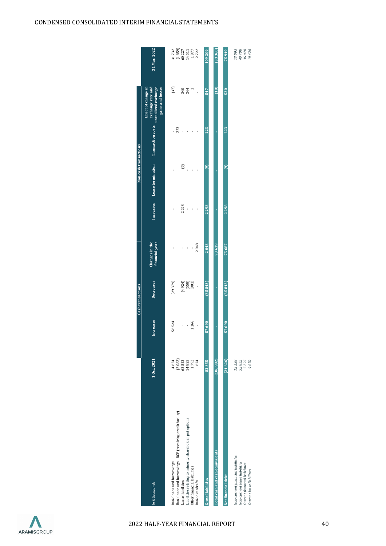|                                                                                                                                  |                                |           | <b>Cash transactions</b>       |                                  |      | Non-cash transactions                         |     |                                                                                     |                                                                                                  |
|----------------------------------------------------------------------------------------------------------------------------------|--------------------------------|-----------|--------------------------------|----------------------------------|------|-----------------------------------------------|-----|-------------------------------------------------------------------------------------|--------------------------------------------------------------------------------------------------|
| $n \in thousands$                                                                                                                | 10ct.2021                      | Increases | Decreases                      | Changes in the<br>financial year |      | Increases Lease termination Transaction costs |     | unrealized exchange<br>gains and losses<br>Effect of change in<br>exchange rate and | 31 Mar. 2022                                                                                     |
| Bank loans and borrowings                                                                                                        | 4624                           | 56524     | (29379)                        |                                  |      |                                               |     | $(37)$                                                                              |                                                                                                  |
| Bank loans and borrowings - RCF (revolving credit facility)                                                                      |                                |           |                                |                                  |      |                                               | 223 |                                                                                     | $\begin{array}{c} 31\,732\\ 1\,859)\\ 1\,922\\ 1\,4\,511\\ 1\,977\\ 1\,972\\ 2\,722 \end{array}$ |
| Lease liabilities                                                                                                                | $(2 082)$<br>$62 522$          | ,         |                                |                                  | 2298 | $\widehat{\mathcal{E}}$                       |     | 340                                                                                 |                                                                                                  |
| Liabilities relating to minority shareholder put options                                                                         | 14825                          | í         |                                |                                  |      |                                               |     | 244                                                                                 |                                                                                                  |
| Other financial liabilities                                                                                                      | 1792                           | 1166      | $(4924)$<br>$(558)$<br>$(981)$ |                                  |      |                                               |     |                                                                                     |                                                                                                  |
| Bank overdrafts                                                                                                                  | 674                            |           |                                | 2048                             |      |                                               |     |                                                                                     |                                                                                                  |
| <b>Gross liabilities</b>                                                                                                         | 82355                          | 57690     | (35843)                        | 2048                             | 2298 | $\widehat{e}$                                 | 223 | 547                                                                                 | 109309                                                                                           |
| Total cash and cash equivalents                                                                                                  | (106982)                       |           |                                | 73639                            |      |                                               |     | (18)                                                                                | (333360)                                                                                         |
| Net financial debt                                                                                                               | (24626)                        | 57690     | (35843)                        | 75687                            | 2298 | $\circ$                                       | 223 | 530                                                                                 | 75949                                                                                            |
| Non-current financial liabilities<br>Non-current lease liabilities<br>Current financial liabilities<br>Current lease liabilities | 12538<br>7295<br>9670<br>52852 |           |                                |                                  |      |                                               |     |                                                                                     | 13005<br>49798<br>36078<br>10428                                                                 |

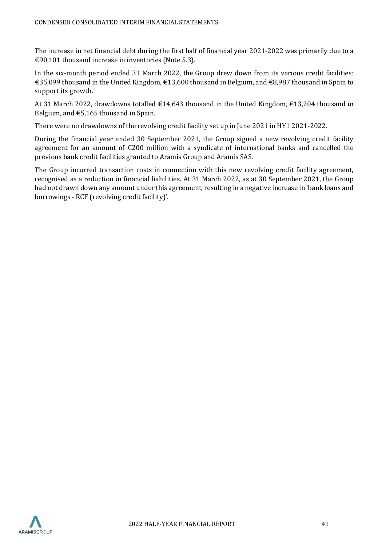The increase in net financial debt during the first half of financial year 2021-2022 was primarily due to a €90,101 thousand increase in inventories (Note 5.3).

In the six-month period ended 31 March 2022, the Group drew down from its various credit facilities: €35,099 thousand in the United Kingdom, €13,600 thousand in Belgium, and €8,987 thousand in Spain to support its growth.

At 31 March 2022, drawdowns totalled €14,643 thousand in the United Kingdom, €13,204 thousand in Belgium, and €5,165 thousand in Spain.

There were no drawdowns of the revolving credit facility set up in June 2021 in HY1 2021-2022.

During the financial year ended 30 September 2021, the Group signed a new revolving credit facility agreement for an amount of €200 million with a syndicate of international banks and cancelled the previous bank credit facilities granted to Aramis Group and Aramis SAS.

The Group incurred transaction costs in connection with this new revolving credit facility agreement, recognised as a reduction in financial liabilities. At 31 March 2022, as at 30 September 2021, the Group had not drawn down any amount under this agreement, resulting in a negative increase in 'bank loans and borrowings - RCF (revolving credit facility)'.

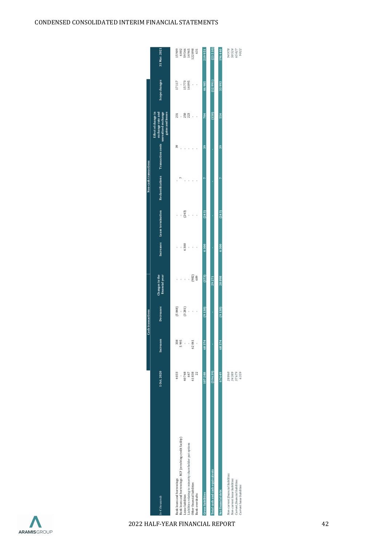| CONDENSED CONSOLIDATED INTERIM FINANCIAL STATEMENTS |
|-----------------------------------------------------|

|                                                                                                                                                                                                                             |                                                      |             | <b>Cash transactions</b>                          |                                  |      |                             | Non-cash transactions                                                        |                |                                         |                                   |                                                                                             |
|-----------------------------------------------------------------------------------------------------------------------------------------------------------------------------------------------------------------------------|------------------------------------------------------|-------------|---------------------------------------------------|----------------------------------|------|-----------------------------|------------------------------------------------------------------------------|----------------|-----------------------------------------|-----------------------------------|---------------------------------------------------------------------------------------------|
| $ln \epsilon$ thousands                                                                                                                                                                                                     | 10ct.2020                                            | Increases   | <b>Decreases</b>                                  | financial year<br>Changes in the |      | Increases Lease termination | exchange rate and<br>Reclassifications Transaction costs unrealized exchange |                | gains and losses<br>Effect of change in | Scope changes                     | 31 Mar. 2021                                                                                |
| Bank loans and borrowings - RCF (revolving credit facility)<br>Liabilities relating to minority shareholder put options<br>Bank loans and borrowings<br>Other financial liabilities<br>Bank overdrafts<br>Lease liabilities | 40748<br>4033<br>647<br>61838<br>$\overline{2}$<br>ł | 338<br>5995 | (5848)<br>$(3\,281)$<br>$\ddot{\phantom{0}}$<br>j | (982)<br>609                     | 6300 | (243)                       |                                                                              | 39             | <b>250</b><br>223<br>231<br>l,          | 17117<br>15773<br>14095<br>j<br>ł | $\begin{array}{r} 6 \ 002 \\ 59 \ 546 \\ 14 \ 965 \\ 122 \ 898 \end{array}$<br>631<br>15909 |
| <b>Gross liabilities</b>                                                                                                                                                                                                    | 107288                                               | 68374       | (9130)                                            | (373)                            | 6300 | (243)                       | t                                                                            | 39             | 704                                     | 46985                             | 219951                                                                                      |
| <b>Total cash and cash equivalents</b>                                                                                                                                                                                      | (39639)                                              |             |                                                   | 29 271                           |      |                             |                                                                              |                | (150)                                   | (12991)                           | (23510)                                                                                     |
| Non-current financial liabilities<br>Non-current lease liabilities<br>Current financial liabilities<br>Current lease liabilities<br>Net financial debt                                                                      | 67 649<br>28860<br>34389<br>37679<br>6359            | 68374       | (9130)                                            | 28898                            | 6300 | (243)                       | b                                                                            | $\frac{39}{2}$ | 554                                     | 33993                             | 94978<br>196440<br>50 524<br>65 427<br>9022                                                 |
|                                                                                                                                                                                                                             |                                                      |             |                                                   |                                  |      |                             |                                                                              |                |                                         |                                   |                                                                                             |

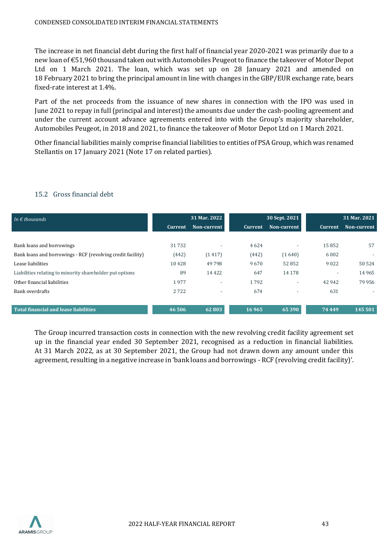The increase in net financial debt during the first half of financial year 2020-2021 was primarily due to a new loan of €51,960 thousand taken out with Automobiles Peugeot to finance the takeover of Motor Depot Ltd on 1 March 2021. The loan, which was set up on 28 January 2021 and amended on 18 February 2021 to bring the principal amount in line with changes in the GBP/EUR exchange rate, bears fixed-rate interest at 1.4%.

Part of the net proceeds from the issuance of new shares in connection with the IPO was used in June 2021 to repay in full (principal and interest) the amounts due under the cash-pooling agreement and under the current account advance agreements entered into with the Group's majority shareholder, Automobiles Peugeot, in 2018 and 2021, to finance the takeover of Motor Depot Ltd on 1 March 2021.

Other financial liabilities mainly comprise financial liabilities to entities of PSA Group, which was renamed Stellantis on 17 January 2021 (Note 17 on related parties).

| In $\epsilon$ thousands                                     |                | 31 Mar. 2022             |                | 30 Sept. 2021            |                          | 31 Mar. 2021             |
|-------------------------------------------------------------|----------------|--------------------------|----------------|--------------------------|--------------------------|--------------------------|
|                                                             | <b>Current</b> | Non-current              | <b>Current</b> | Non-current              | Current                  | Non-current              |
|                                                             |                |                          |                |                          |                          |                          |
| Bank loans and borrowings                                   | 31732          | $\overline{\phantom{0}}$ | 4624           | $\overline{\phantom{0}}$ | 15852                    | 57                       |
| Bank loans and borrowings - RCF (revolving credit facility) | (442)          | (1417)                   | (442)          | (1640)                   | 6 0 0 2                  | $\overline{\phantom{a}}$ |
| Lease liabilities                                           | 10428          | 49798                    | 9670           | 52852                    | 9022                     | 50 524                   |
| Liabilities relating to minority shareholder put options    | 89             | 14 4 22                  | 647            | 14 178                   | $\overline{\phantom{0}}$ | 14 9 65                  |
| Other financial liabilities                                 | 1977           | $\overline{\phantom{a}}$ | 1792           |                          | 42 942                   | 79956                    |
| Bank overdrafts                                             | 2722           | $\overline{\phantom{a}}$ | 674            | $\overline{\phantom{a}}$ | 631                      | $\overline{\phantom{a}}$ |
|                                                             |                |                          |                |                          |                          |                          |
| <b>Total financial and lease liabilities</b>                | 46 50 6        | 62 803                   | 16965          | 65 390                   | 74 4 4 9                 | 145 501                  |
|                                                             |                |                          |                |                          |                          |                          |

# 15.2 Gross financial debt

The Group incurred transaction costs in connection with the new revolving credit facility agreement set up in the financial year ended 30 September 2021, recognised as a reduction in financial liabilities. At 31 March 2022, as at 30 September 2021, the Group had not drawn down any amount under this agreement, resulting in a negative increase in 'bank loans and borrowings - RCF (revolving credit facility)'.

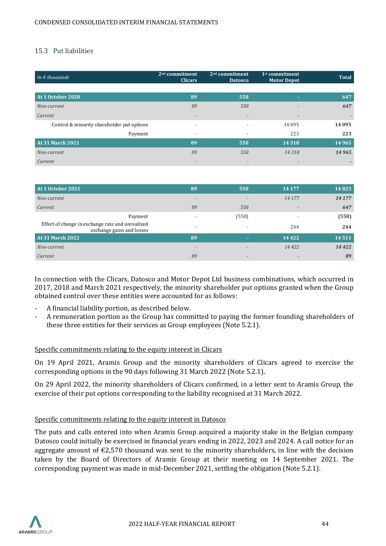### 15.3 Put liabilities

| In $\epsilon$ thousands                    | $2nd$ commitment<br><b>Clicars</b> | $2nd$ commitment<br><b>Datosco</b> | $1st$ commitment<br><b>Motor Depot</b> | <b>Total</b> |
|--------------------------------------------|------------------------------------|------------------------------------|----------------------------------------|--------------|
|                                            |                                    |                                    |                                        |              |
| At 1 October 2020                          | 89                                 | 558                                | ٠                                      | 647          |
| Non-current                                | 89                                 | 558                                |                                        | 647          |
| Current                                    | $\overline{\phantom{a}}$           | $\overline{\phantom{a}}$           | $\overline{\phantom{a}}$               |              |
| Control & minority shareholder put options | $\overline{\phantom{0}}$           | $\overline{\phantom{0}}$           | 14 0 95                                | 14 0 95      |
| Payment                                    | $\overline{\phantom{a}}$           |                                    | 223                                    | 223          |
| <b>At 31 March 2021</b>                    | 89                                 | 558                                | 14 3 18                                | 14 9 65      |
| Non-current                                | 89                                 | 558                                | 14318                                  | 14965        |
| Current                                    | $\overline{\phantom{a}}$           |                                    | $\overline{\phantom{a}}$               |              |

| At 1 October 2021                                                             | 89                       | 558                      | 14 177  | 14825  |
|-------------------------------------------------------------------------------|--------------------------|--------------------------|---------|--------|
| Non-current                                                                   | $\overline{\phantom{0}}$ |                          | 14 177  | 14 177 |
| Current                                                                       | 89                       | 558                      |         | 647    |
| Payment                                                                       |                          | (558)                    | ٠       | (558)  |
| Effect of change in exchange rate and unrealized<br>exchange gains and losses | $\overline{\phantom{a}}$ |                          | 244     | 244    |
| <b>At 31 March 2022</b>                                                       | 89                       | <b>COL</b>               | 14 4 22 | 14511  |
| Non-current                                                                   | $\overline{\phantom{0}}$ |                          | 14 4 22 | 14422  |
| Current                                                                       | 89                       | $\overline{\phantom{0}}$ |         | 89     |

In connection with the Clicars, Datosco and Motor Depot Ltd business combinations, which occurred in 2017, 2018 and March 2021 respectively, the minority shareholder put options granted when the Group obtained control over these entities were accounted for as follows:

- A financial liability portion, as described below.
- A remuneration portion as the Group has committed to paying the former founding shareholders of these three entities for their services as Group employees (Note 5.2.1).

#### Specific commitments relating to the equity interest in Clicars

On 19 April 2021, Aramis Group and the minority shareholders of Clicars agreed to exercise the corresponding options in the 90 days following 31 March 2022 (Note 5.2.1).

On 29 April 2022, the minority shareholders of Clicars confirmed, in a letter sent to Aramis Group, the exercise of their put options corresponding to the liability recognised at 31 March 2022.

#### Specific commitments relating to the equity interest in Datosco

The puts and calls entered into when Aramis Group acquired a majority stake in the Belgian company Datosco could initially be exercised in financial years ending in 2022, 2023 and 2024. A call notice for an aggregate amount of  $\epsilon$ 2,570 thousand was sent to the minority shareholders, in line with the decision taken by the Board of Directors of Aramis Group at their meeting on 14 September 2021. The corresponding payment was made in mid-December 2021, settling the obligation (Note 5.2.1).

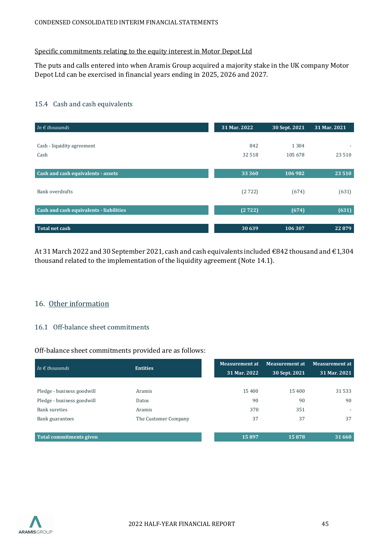#### Specific commitments relating to the equity interest in Motor Depot Ltd

The puts and calls entered into when Aramis Group acquired a majority stake in the UK company Motor Depot Ltd can be exercised in financial years ending in 2025, 2026 and 2027.

#### 15.4 Cash and cash equivalents

| In $\epsilon$ thousands                 | 31 Mar. 2022 | 30 Sept. 2021 | 31 Mar. 2021             |
|-----------------------------------------|--------------|---------------|--------------------------|
|                                         |              |               |                          |
| Cash - liquidity agreement              | 842          | 1 3 0 4       | $\overline{\phantom{a}}$ |
| Cash                                    | 32 5 18      | 105 678       | 23 5 10                  |
|                                         |              |               |                          |
| Cash and cash equivalents - assets      | 33 360       | 106 982       | 23 5 10                  |
|                                         |              |               |                          |
| Bank overdrafts                         | (2722)       | (674)         | (631)                    |
|                                         |              |               |                          |
| Cash and cash equivalents - liabilities | (2722)       | (674)         | (631)                    |
|                                         |              |               |                          |
| <b>Total net cash</b>                   | 30 639       | 106 307       | 22879                    |

At 31 March 2022 and 30 September 2021, cash and cash equivalents included €842 thousand and €1,304 thousand related to the implementation of the liquidity agreement (Note 14.1).

#### <span id="page-44-0"></span>16. Other information

# 16.1 Off-balance sheet commitments

#### Off-balance sheet commitments provided are as follows:

| In $\epsilon$ thousands        | <b>Entities</b>      | <b>Measurement at</b> | <b>Measurement at</b> | <b>Measurement at</b>    |
|--------------------------------|----------------------|-----------------------|-----------------------|--------------------------|
|                                |                      | 31 Mar. 2022          | 30 Sept. 2021         | 31 Mar. 2021             |
|                                |                      |                       |                       |                          |
| Pledge - business goodwill     | Aramis               | 15400                 | 15 400                | 31 5 33                  |
| Pledge - business goodwill     | Datos                | 90                    | 90                    | 90                       |
| <b>Bank sureties</b>           | Aramis               | 370                   | 351                   | $\overline{\phantom{a}}$ |
| Bank guarantees                | The Customer Company | 37                    | 37                    | 37                       |
|                                |                      |                       |                       |                          |
| <b>Total commitments given</b> |                      | 15897                 | 15878                 | 31 660                   |

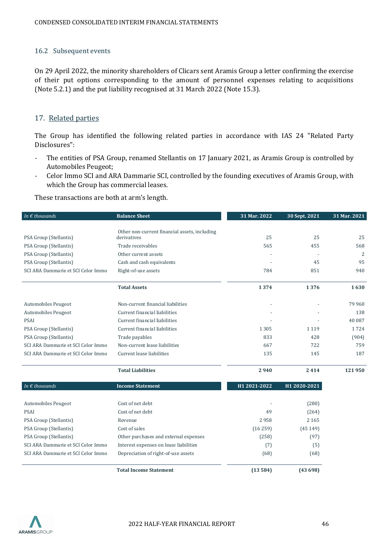#### 16.2 Subsequent events

On 29 April 2022, the minority shareholders of Clicars sent Aramis Group a letter confirming the exercise of their put options corresponding to the amount of personnel expenses relating to acquisitions (Note 5.2.1) and the put liability recognised at 31 March 2022 (Note 15.3).

#### <span id="page-45-0"></span>17. Related parties

The Group has identified the following related parties in accordance with IAS 24 "Related Party Disclosures":

- The entities of PSA Group, renamed Stellantis on 17 January 2021, as Aramis Group is controlled by Automobiles Peugeot;
- Celor Immo SCI and ARA Dammarie SCI, controlled by the founding executives of Aramis Group, with which the Group has commercial leases.

These transactions are both at arm's length.

| In $\epsilon$ thousands            | <b>Balance Sheet</b>                                         | 31 Mar. 2022 | 30 Sept. 2021 | 31 Mar. 2021   |
|------------------------------------|--------------------------------------------------------------|--------------|---------------|----------------|
|                                    |                                                              |              |               |                |
| PSA Group (Stellantis)             | Other non-current financial assets, including<br>derivatives | 25           | 25            | 25             |
| PSA Group (Stellantis)             | Trade receivables                                            | 565          | 455           | 568            |
| PSA Group (Stellantis)             | Other current assets                                         |              |               | $\overline{2}$ |
| PSA Group (Stellantis)             | Cash and cash equivalents                                    |              | 45            | 95             |
| SCI ARA Dammarie et SCI Celor Immo | Right-of-use assets                                          | 784          | 851           | 940            |
|                                    | <b>Total Assets</b>                                          | 1374         | 1376          | 1630           |
| Automobiles Peugeot                | Non-current financial liabilities                            |              |               | 79 960         |
| Automobiles Peugeot                | Current financial liabilities                                |              |               | 138            |
| <b>PSAI</b>                        | Current financial liabilities                                |              |               | 40 087         |
| PSA Group (Stellantis)             | Current financial liabilities                                | 1305         | 1 1 1 9       | 1724           |
| PSA Group (Stellantis)             | Trade payables                                               | 833          | 428           | (904)          |
| SCI ARA Dammarie et SCI Celor Immo | Non-current lease liabilities                                | 667          | 722           | 759            |
| SCI ARA Dammarie et SCI Celor Immo | Current lease liabilities                                    | 135          | 145           | 187            |
|                                    | <b>Total Liabilities</b>                                     | 2940         | 2414          | 121950         |
| In $\epsilon$ thousands            | <b>Income Statement</b>                                      | H1 2021-2022 | H1 2020-2021  |                |
| Automobiles Peugeot                | Cost of net debt                                             |              | (280)         |                |
| <b>PSAI</b>                        | Cost of net debt                                             | 49           | (264)         |                |
| PSA Group (Stellantis)             | Revenue                                                      | 2958         | 2 1 6 5       |                |
| PSA Group (Stellantis)             | Cost of sales                                                | (16259)      | (45149)       |                |
| PSA Group (Stellantis)             | Other purchases and external expenses                        | (258)        | (97)          |                |
| SCI ARA Dammarie et SCI Celor Immo | Interest expenses on lease liabilities                       | (7)          | (5)           |                |
| SCI ARA Dammarie et SCI Celor Immo | Depreciation of right-of-use assets                          | (68)         | (68)          |                |
|                                    | <b>Total Income Statement</b>                                | (13584)      | (43698)       |                |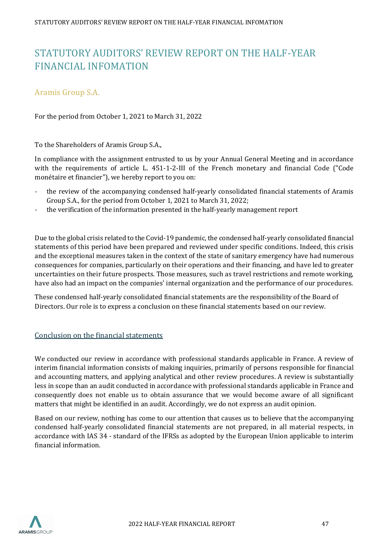# <span id="page-46-0"></span>STATUTORY AUDITORS' REVIEW REPORT ON THE HALF-YEAR FINANCIAL INFOMATION

# Aramis Group S.A.

For the period from October 1, 2021 to March 31, 2022

To the Shareholders of Aramis Group S.A.,

In compliance with the assignment entrusted to us by your Annual General Meeting and in accordance with the requirements of article L. 451-1-2-III of the French monetary and financial Code ("Code monétaire et financier"), we hereby report to you on:

- the review of the accompanying condensed half-yearly consolidated financial statements of Aramis Group S.A., for the period from October 1, 2021 to March 31, 2022;
- the verification of the information presented in the half-yearly management report

Due to the global crisis related to the Covid-19 pandemic, the condensed half-yearly consolidated financial statements of this period have been prepared and reviewed under specific conditions. Indeed, this crisis and the exceptional measures taken in the context of the state of sanitary emergency have had numerous consequences for companies, particularly on their operations and their financing, and have led to greater uncertainties on their future prospects. Those measures, such as travel restrictions and remote working, have also had an impact on the companies' internal organization and the performance of our procedures.

These condensed half-yearly consolidated financial statements are the responsibility of the Board of Directors. Our role is to express a conclusion on these financial statements based on our review.

#### Conclusion on the financial statements

We conducted our review in accordance with professional standards applicable in France. A review of interim financial information consists of making inquiries, primarily of persons responsible for financial and accounting matters, and applying analytical and other review procedures. A review is substantially less in scope than an audit conducted in accordance with professional standards applicable in France and consequently does not enable us to obtain assurance that we would become aware of all significant matters that might be identified in an audit. Accordingly, we do not express an audit opinion.

Based on our review, nothing has come to our attention that causes us to believe that the accompanying condensed half-yearly consolidated financial statements are not prepared, in all material respects, in accordance with IAS 34 - standard of the IFRSs as adopted by the European Union applicable to interim financial information.

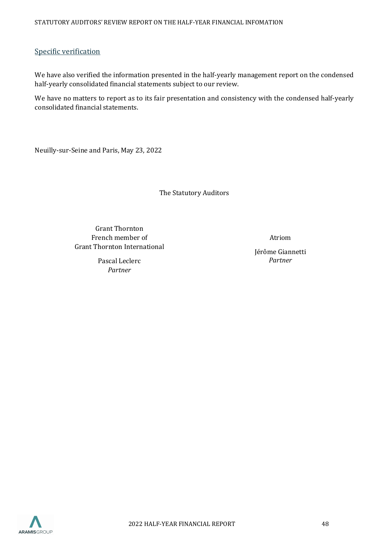#### Specific verification

We have also verified the information presented in the half-yearly management report on the condensed half-yearly consolidated financial statements subject to our review.

We have no matters to report as to its fair presentation and consistency with the condensed half-yearly consolidated financial statements.

Neuilly-sur-Seine and Paris, May 23, 2022

The Statutory Auditors

Grant Thornton French member of Grant Thornton International

> Pascal Leclerc *Partner*

Atriom

Jérôme Giannetti *Partner*

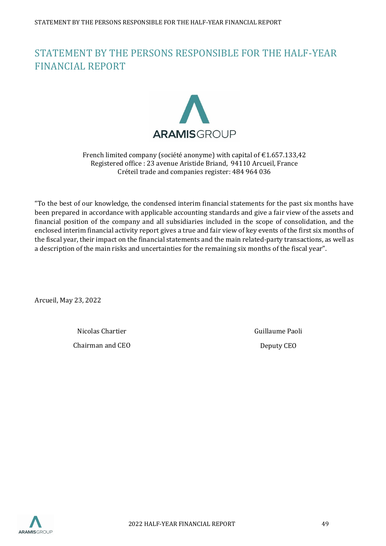# <span id="page-48-0"></span>STATEMENT BY THE PERSONS RESPONSIBLE FOR THE HALF-YEAR FINANCIAL REPORT



#### French limited company (société anonyme) with capital of €1.657.133,42 Registered office : 23 avenue Aristide Briand, 94110 Arcueil, France Créteil trade and companies register: 484 964 036

"To the best of our knowledge, the condensed interim financial statements for the past six months have been prepared in accordance with applicable accounting standards and give a fair view of the assets and financial position of the company and all subsidiaries included in the scope of consolidation, and the enclosed interim financial activity report gives a true and fair view of key events of the first six months of the fiscal year, their impact on the financial statements and the main related-party transactions, as well as a description of the main risks and uncertainties for the remaining six months of the fiscal year".

Arcueil, May 23, 2022

Nicolas Chartier Chairman and CEO Guillaume Paoli Deputy CEO